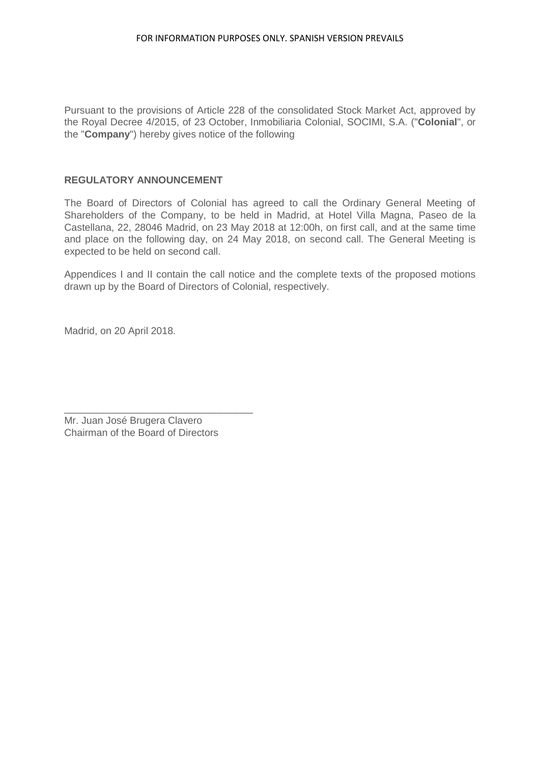Pursuant to the provisions of Article 228 of the consolidated Stock Market Act, approved by the Royal Decree 4/2015, of 23 October, Inmobiliaria Colonial, SOCIMI, S.A. ("**Colonial**", or the "**Company**") hereby gives notice of the following

# **REGULATORY ANNOUNCEMENT**

The Board of Directors of Colonial has agreed to call the Ordinary General Meeting of Shareholders of the Company, to be held in Madrid, at Hotel Villa Magna, Paseo de la Castellana, 22, 28046 Madrid, on 23 May 2018 at 12:00h, on first call, and at the same time and place on the following day, on 24 May 2018, on second call. The General Meeting is expected to be held on second call.

Appendices I and II contain the call notice and the complete texts of the proposed motions drawn up by the Board of Directors of Colonial, respectively.

Madrid, on 20 April 2018.

Mr. Juan José Brugera Clavero Chairman of the Board of Directors

\_\_\_\_\_\_\_\_\_\_\_\_\_\_\_\_\_\_\_\_\_\_\_\_\_\_\_\_\_\_\_\_\_\_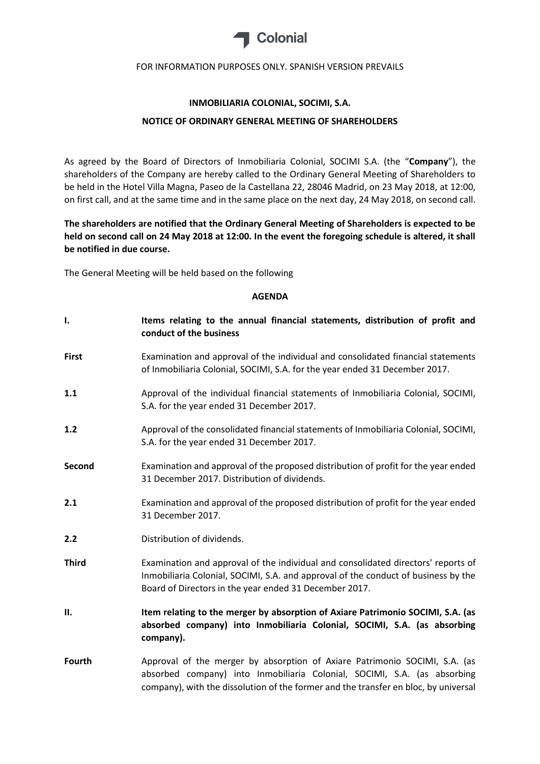

#### **INMOBILIARIA COLONIAL, SOCIMI, S.A.**

#### **NOTICE OF ORDINARY GENERAL MEETING OF SHAREHOLDERS**

As agreed by the Board of Directors of Inmobiliaria Colonial, SOCIMI S.A. (the "**Company**"), the shareholders of the Company are hereby called to the Ordinary General Meeting of Shareholders to be held in the Hotel Villa Magna, Paseo de la Castellana 22, 28046 Madrid, on 23 May 2018, at 12:00, on first call, and at the same time and in the same place on the next day, 24 May 2018, on second call.

**The shareholders are notified that the Ordinary General Meeting of Shareholders is expected to be held on second call on 24 May 2018 at 12:00. In the event the foregoing schedule is altered, it shall be notified in due course.**

The General Meeting will be held based on the following

#### **AGENDA**

**I. Items relating to the annual financial statements, distribution of profit and conduct of the business First** Examination and approval of the individual and consolidated financial statements of Inmobiliaria Colonial, SOCIMI, S.A. for the year ended 31 December 2017. **1.1** Approval of the individual financial statements of Inmobiliaria Colonial, SOCIMI, S.A. for the year ended 31 December 2017. **1.2** Approval of the consolidated financial statements of Inmobiliaria Colonial, SOCIMI, S.A. for the year ended 31 December 2017. **Second** Examination and approval of the proposed distribution of profit for the year ended 31 December 2017. Distribution of dividends. **2.1** Examination and approval of the proposed distribution of profit for the year ended 31 December 2017. **2.2** Distribution of dividends. **Third** Examination and approval of the individual and consolidated directors' reports of Inmobiliaria Colonial, SOCIMI, S.A. and approval of the conduct of business by the Board of Directors in the year ended 31 December 2017. **II. Item relating to the merger by absorption of Axiare Patrimonio SOCIMI, S.A. (as absorbed company) into Inmobiliaria Colonial, SOCIMI, S.A. (as absorbing company). Fourth** Approval of the merger by absorption of Axiare Patrimonio SOCIMI, S.A. (as absorbed company) into Inmobiliaria Colonial, SOCIMI, S.A. (as absorbing company), with the dissolution of the former and the transfer en bloc, by universal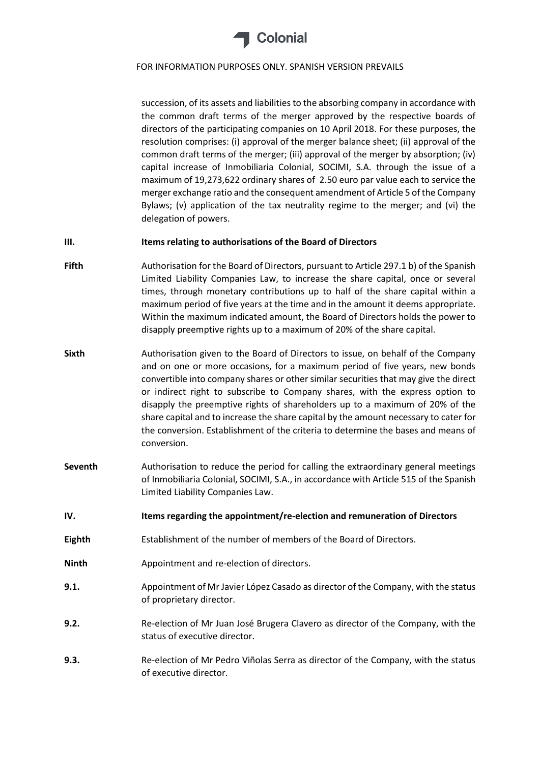

succession, of its assets and liabilities to the absorbing company in accordance with the common draft terms of the merger approved by the respective boards of directors of the participating companies on 10 April 2018. For these purposes, the resolution comprises: (i) approval of the merger balance sheet; (ii) approval of the common draft terms of the merger; (iii) approval of the merger by absorption; (iv) capital increase of Inmobiliaria Colonial, SOCIMI, S.A. through the issue of a maximum of 19,273,622 ordinary shares of 2.50 euro par value each to service the merger exchange ratio and the consequent amendment of Article 5 of the Company Bylaws; (v) application of the tax neutrality regime to the merger; and (vi) the delegation of powers.

#### **III. Items relating to authorisations of the Board of Directors**

- **Fifth** Authorisation for the Board of Directors, pursuant to Article 297.1 b) of the Spanish Limited Liability Companies Law, to increase the share capital, once or several times, through monetary contributions up to half of the share capital within a maximum period of five years at the time and in the amount it deems appropriate. Within the maximum indicated amount, the Board of Directors holds the power to disapply preemptive rights up to a maximum of 20% of the share capital.
- **Sixth** Authorisation given to the Board of Directors to issue, on behalf of the Company and on one or more occasions, for a maximum period of five years, new bonds convertible into company shares or other similar securities that may give the direct or indirect right to subscribe to Company shares, with the express option to disapply the preemptive rights of shareholders up to a maximum of 20% of the share capital and to increase the share capital by the amount necessary to cater for the conversion. Establishment of the criteria to determine the bases and means of conversion.
- **Seventh** Authorisation to reduce the period for calling the extraordinary general meetings of Inmobiliaria Colonial, SOCIMI, S.A., in accordance with Article 515 of the Spanish Limited Liability Companies Law.
- **IV. Items regarding the appointment/re-election and remuneration of Directors**
- **Eighth** Establishment of the number of members of the Board of Directors.
- **Ninth** Appointment and re-election of directors.
- **9.1.** Appointment of Mr Javier López Casado as director of the Company, with the status of proprietary director.
- **9.2.** Re-election of Mr Juan José Brugera Clavero as director of the Company, with the status of executive director.
- **9.3.** Re-election of Mr Pedro Viñolas Serra as director of the Company, with the status of executive director.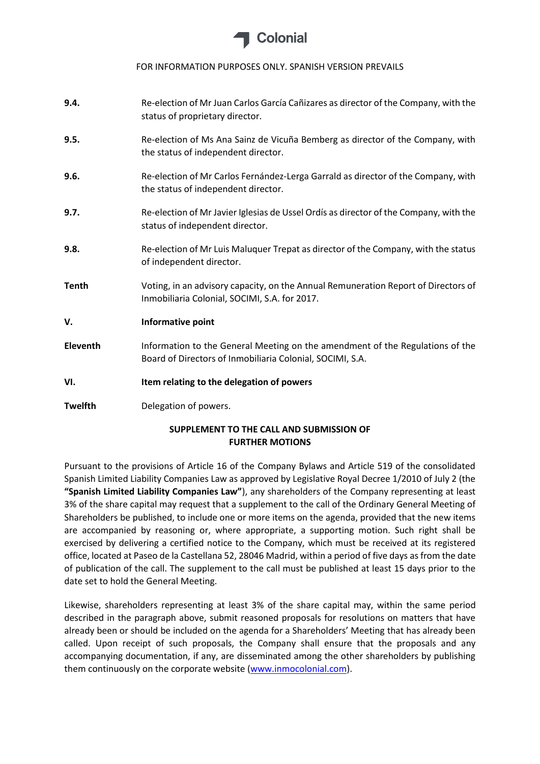

- **9.4.** Re-election of Mr Juan Carlos García Cañizares as director of the Company, with the status of proprietary director.
- **9.5.** Re-election of Ms Ana Sainz de Vicuña Bemberg as director of the Company, with the status of independent director.
- **9.6.** Re-election of Mr Carlos Fernández-Lerga Garrald as director of the Company, with the status of independent director.
- **9.7.** Re-election of Mr Javier Iglesias de Ussel Ordís as director of the Company, with the status of independent director.
- **9.8.** Re-election of Mr Luis Maluquer Trepat as director of the Company, with the status of independent director.
- **Tenth** Voting, in an advisory capacity, on the Annual Remuneration Report of Directors of Inmobiliaria Colonial, SOCIMI, S.A. for 2017.

**V. Informative point** 

- **Eleventh** Information to the General Meeting on the amendment of the Regulations of the Board of Directors of Inmobiliaria Colonial, SOCIMI, S.A.
- **VI. Item relating to the delegation of powers**

**Twelfth** Delegation of powers.

# **SUPPLEMENT TO THE CALL AND SUBMISSION OF FURTHER MOTIONS**

Pursuant to the provisions of Article 16 of the Company Bylaws and Article 519 of the consolidated Spanish Limited Liability Companies Law as approved by Legislative Royal Decree 1/2010 of July 2 (the **"Spanish Limited Liability Companies Law"**), any shareholders of the Company representing at least 3% of the share capital may request that a supplement to the call of the Ordinary General Meeting of Shareholders be published, to include one or more items on the agenda, provided that the new items are accompanied by reasoning or, where appropriate, a supporting motion. Such right shall be exercised by delivering a certified notice to the Company, which must be received at its registered office, located at Paseo de la Castellana 52, 28046 Madrid, within a period of five days as from the date of publication of the call. The supplement to the call must be published at least 15 days prior to the date set to hold the General Meeting.

Likewise, shareholders representing at least 3% of the share capital may, within the same period described in the paragraph above, submit reasoned proposals for resolutions on matters that have already been or should be included on the agenda for a Shareholders' Meeting that has already been called. Upon receipt of such proposals, the Company shall ensure that the proposals and any accompanying documentation, if any, are disseminated among the other shareholders by publishing them continuously on the corporate website [\(www.inmocolonial.com\)](http://www.inmocolonial.com/).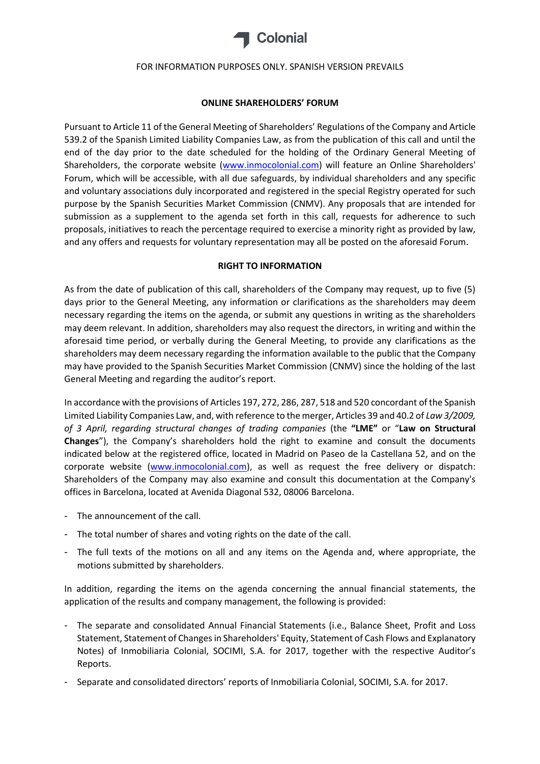

#### **ONLINE SHAREHOLDERS' FORUM**

Pursuant to Article 11 of the General Meeting of Shareholders' Regulations of the Company and Article 539.2 of the Spanish Limited Liability Companies Law, as from the publication of this call and until the end of the day prior to the date scheduled for the holding of the Ordinary General Meeting of Shareholders, the corporate website [\(www.inmocolonial.com\)](http://www.inmocolonial.com/) will feature an Online Shareholders' Forum, which will be accessible, with all due safeguards, by individual shareholders and any specific and voluntary associations duly incorporated and registered in the special Registry operated for such purpose by the Spanish Securities Market Commission (CNMV). Any proposals that are intended for submission as a supplement to the agenda set forth in this call, requests for adherence to such proposals, initiatives to reach the percentage required to exercise a minority right as provided by law, and any offers and requests for voluntary representation may all be posted on the aforesaid Forum.

#### **RIGHT TO INFORMATION**

As from the date of publication of this call, shareholders of the Company may request, up to five (5) days prior to the General Meeting, any information or clarifications as the shareholders may deem necessary regarding the items on the agenda, or submit any questions in writing as the shareholders may deem relevant. In addition, shareholders may also request the directors, in writing and within the aforesaid time period, or verbally during the General Meeting, to provide any clarifications as the shareholders may deem necessary regarding the information available to the public that the Company may have provided to the Spanish Securities Market Commission (CNMV) since the holding of the last General Meeting and regarding the auditor's report.

In accordance with the provisions of Articles 197, 272, 286, 287, 518 and 520 concordant of the Spanish Limited Liability Companies Law, and, with reference to the merger, Articles 39 and 40.2 of *Law 3/2009, of 3 April, regarding structural changes of trading companies* (the **"LME"** or "**Law on Structural Changes**"), the Company's shareholders hold the right to examine and consult the documents indicated below at the registered office, located in Madrid on Paseo de la Castellana 52, and on the corporate website [\(www.inmocolonial.com\)](http://www.inmocolonial.com/), as well as request the free delivery or dispatch: Shareholders of the Company may also examine and consult this documentation at the Company's offices in Barcelona, located at Avenida Diagonal 532, 08006 Barcelona.

- The announcement of the call.
- The total number of shares and voting rights on the date of the call.
- The full texts of the motions on all and any items on the Agenda and, where appropriate, the motions submitted by shareholders.

In addition, regarding the items on the agenda concerning the annual financial statements, the application of the results and company management, the following is provided:

- The separate and consolidated Annual Financial Statements (i.e., Balance Sheet, Profit and Loss Statement, Statement of Changes in Shareholders' Equity, Statement of Cash Flows and Explanatory Notes) of Inmobiliaria Colonial, SOCIMI, S.A. for 2017, together with the respective Auditor's Reports.
- Separate and consolidated directors' reports of Inmobiliaria Colonial, SOCIMI, S.A. for 2017.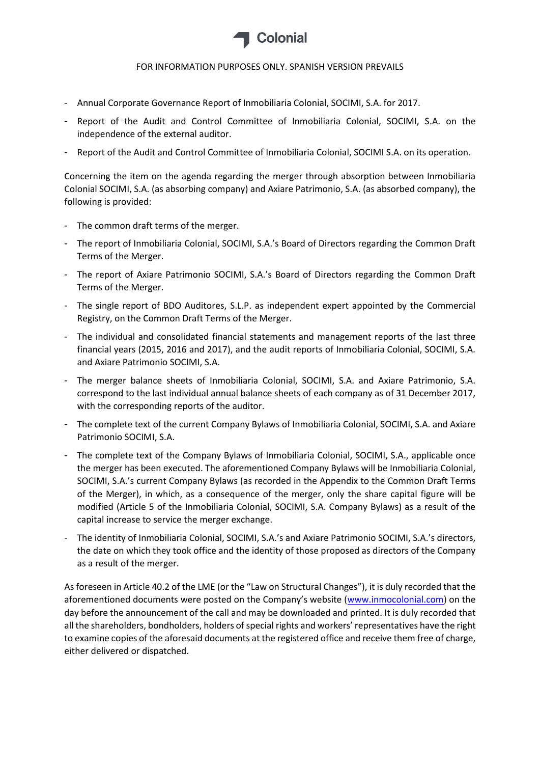

- Annual Corporate Governance Report of Inmobiliaria Colonial, SOCIMI, S.A. for 2017.
- Report of the Audit and Control Committee of Inmobiliaria Colonial, SOCIMI, S.A. on the independence of the external auditor.
- Report of the Audit and Control Committee of Inmobiliaria Colonial, SOCIMI S.A. on its operation.

Concerning the item on the agenda regarding the merger through absorption between Inmobiliaria Colonial SOCIMI, S.A. (as absorbing company) and Axiare Patrimonio, S.A. (as absorbed company), the following is provided:

- The common draft terms of the merger.
- The report of Inmobiliaria Colonial, SOCIMI, S.A.'s Board of Directors regarding the Common Draft Terms of the Merger.
- The report of Axiare Patrimonio SOCIMI, S.A.'s Board of Directors regarding the Common Draft Terms of the Merger.
- The single report of BDO Auditores, S.L.P. as independent expert appointed by the Commercial Registry, on the Common Draft Terms of the Merger.
- The individual and consolidated financial statements and management reports of the last three financial years (2015, 2016 and 2017), and the audit reports of Inmobiliaria Colonial, SOCIMI, S.A. and Axiare Patrimonio SOCIMI, S.A.
- The merger balance sheets of Inmobiliaria Colonial, SOCIMI, S.A. and Axiare Patrimonio, S.A. correspond to the last individual annual balance sheets of each company as of 31 December 2017, with the corresponding reports of the auditor.
- The complete text of the current Company Bylaws of Inmobiliaria Colonial, SOCIMI, S.A. and Axiare Patrimonio SOCIMI, S.A.
- The complete text of the Company Bylaws of Inmobiliaria Colonial, SOCIMI, S.A., applicable once the merger has been executed. The aforementioned Company Bylaws will be Inmobiliaria Colonial, SOCIMI, S.A.'s current Company Bylaws (as recorded in the Appendix to the Common Draft Terms of the Merger), in which, as a consequence of the merger, only the share capital figure will be modified (Article 5 of the Inmobiliaria Colonial, SOCIMI, S.A. Company Bylaws) as a result of the capital increase to service the merger exchange.
- The identity of Inmobiliaria Colonial, SOCIMI, S.A.'s and Axiare Patrimonio SOCIMI, S.A.'s directors, the date on which they took office and the identity of those proposed as directors of the Company as a result of the merger.

As foreseen in Article 40.2 of the LME (or the "Law on Structural Changes"), it is duly recorded that the aforementioned documents were posted on the Company's website ([www.inmocolonial.com\)](http://www.inmocolonial.com/) on the day before the announcement of the call and may be downloaded and printed. It is duly recorded that all the shareholders, bondholders, holders of special rights and workers' representatives have the right to examine copies of the aforesaid documents at the registered office and receive them free of charge, either delivered or dispatched.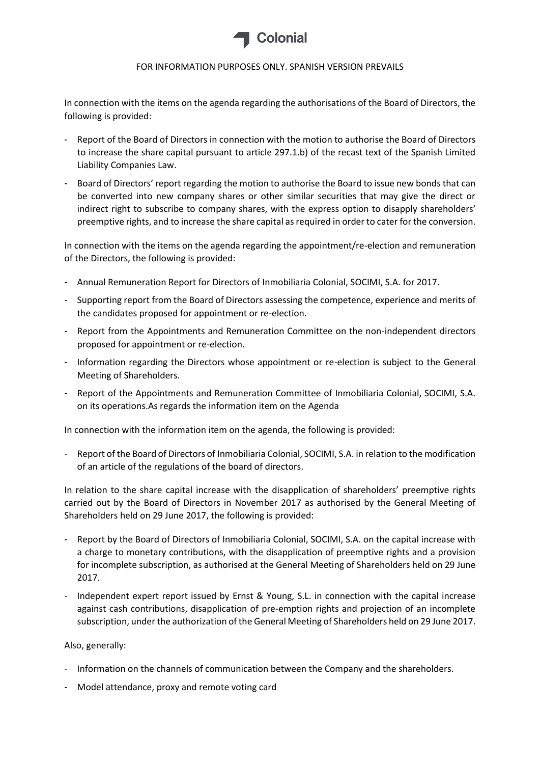

In connection with the items on the agenda regarding the authorisations of the Board of Directors, the following is provided:

- Report of the Board of Directors in connection with the motion to authorise the Board of Directors to increase the share capital pursuant to article 297.1.b) of the recast text of the Spanish Limited Liability Companies Law.
- Board of Directors' report regarding the motion to authorise the Board to issue new bonds that can be converted into new company shares or other similar securities that may give the direct or indirect right to subscribe to company shares, with the express option to disapply shareholders' preemptive rights, and to increase the share capital as required in order to cater for the conversion.

In connection with the items on the agenda regarding the appointment/re-election and remuneration of the Directors, the following is provided:

- Annual Remuneration Report for Directors of Inmobiliaria Colonial, SOCIMI, S.A. for 2017.
- Supporting report from the Board of Directors assessing the competence, experience and merits of the candidates proposed for appointment or re-election.
- Report from the Appointments and Remuneration Committee on the non-independent directors proposed for appointment or re-election.
- Information regarding the Directors whose appointment or re-election is subject to the General Meeting of Shareholders.
- Report of the Appointments and Remuneration Committee of Inmobiliaria Colonial, SOCIMI, S.A. on its operations.As regards the information item on the Agenda

In connection with the information item on the agenda, the following is provided:

- Report of the Board of Directors of Inmobiliaria Colonial, SOCIMI, S.A. in relation to the modification of an article of the regulations of the board of directors.

In relation to the share capital increase with the disapplication of shareholders' preemptive rights carried out by the Board of Directors in November 2017 as authorised by the General Meeting of Shareholders held on 29 June 2017, the following is provided:

- Report by the Board of Directors of Inmobiliaria Colonial, SOCIMI, S.A. on the capital increase with a charge to monetary contributions, with the disapplication of preemptive rights and a provision for incomplete subscription, as authorised at the General Meeting of Shareholders held on 29 June 2017.
- Independent expert report issued by Ernst & Young, S.L. in connection with the capital increase against cash contributions, disapplication of pre-emption rights and projection of an incomplete subscription, under the authorization of the General Meeting of Shareholders held on 29 June 2017.

#### Also, generally:

- Information on the channels of communication between the Company and the shareholders.
- Model attendance, proxy and remote voting card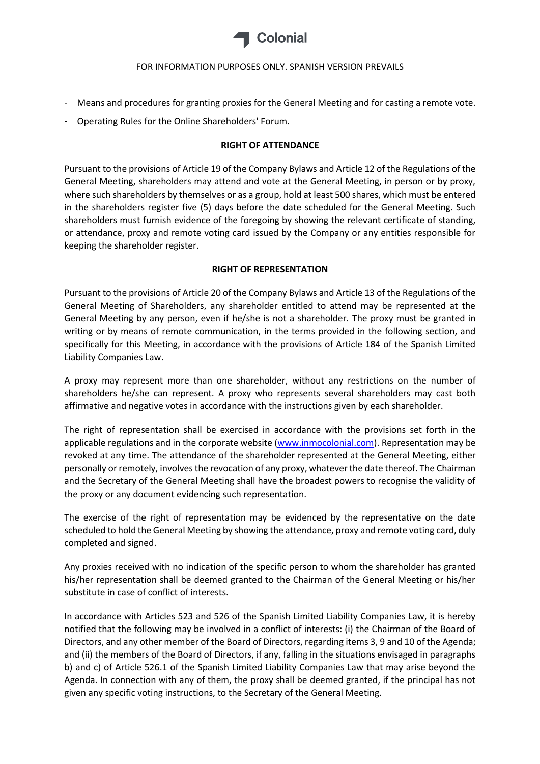

- Means and procedures for granting proxies for the General Meeting and for casting a remote vote.
- Operating Rules for the Online Shareholders' Forum.

#### **RIGHT OF ATTENDANCE**

Pursuant to the provisions of Article 19 of the Company Bylaws and Article 12 of the Regulations of the General Meeting, shareholders may attend and vote at the General Meeting, in person or by proxy, where such shareholders by themselves or as a group, hold at least 500 shares, which must be entered in the shareholders register five (5) days before the date scheduled for the General Meeting. Such shareholders must furnish evidence of the foregoing by showing the relevant certificate of standing, or attendance, proxy and remote voting card issued by the Company or any entities responsible for keeping the shareholder register.

### **RIGHT OF REPRESENTATION**

Pursuant to the provisions of Article 20 of the Company Bylaws and Article 13 of the Regulations of the General Meeting of Shareholders, any shareholder entitled to attend may be represented at the General Meeting by any person, even if he/she is not a shareholder. The proxy must be granted in writing or by means of remote communication, in the terms provided in the following section, and specifically for this Meeting, in accordance with the provisions of Article 184 of the Spanish Limited Liability Companies Law.

A proxy may represent more than one shareholder, without any restrictions on the number of shareholders he/she can represent. A proxy who represents several shareholders may cast both affirmative and negative votes in accordance with the instructions given by each shareholder.

The right of representation shall be exercised in accordance with the provisions set forth in the applicable regulations and in the corporate website [\(www.inmocolonial.com\)](http://www.inmocolonial.com/). Representation may be revoked at any time. The attendance of the shareholder represented at the General Meeting, either personally or remotely, involves the revocation of any proxy, whatever the date thereof. The Chairman and the Secretary of the General Meeting shall have the broadest powers to recognise the validity of the proxy or any document evidencing such representation.

The exercise of the right of representation may be evidenced by the representative on the date scheduled to hold the General Meeting by showing the attendance, proxy and remote voting card, duly completed and signed.

Any proxies received with no indication of the specific person to whom the shareholder has granted his/her representation shall be deemed granted to the Chairman of the General Meeting or his/her substitute in case of conflict of interests.

In accordance with Articles 523 and 526 of the Spanish Limited Liability Companies Law, it is hereby notified that the following may be involved in a conflict of interests: (i) the Chairman of the Board of Directors, and any other member of the Board of Directors, regarding items 3, 9 and 10 of the Agenda; and (ii) the members of the Board of Directors, if any, falling in the situations envisaged in paragraphs b) and c) of Article 526.1 of the Spanish Limited Liability Companies Law that may arise beyond the Agenda. In connection with any of them, the proxy shall be deemed granted, if the principal has not given any specific voting instructions, to the Secretary of the General Meeting.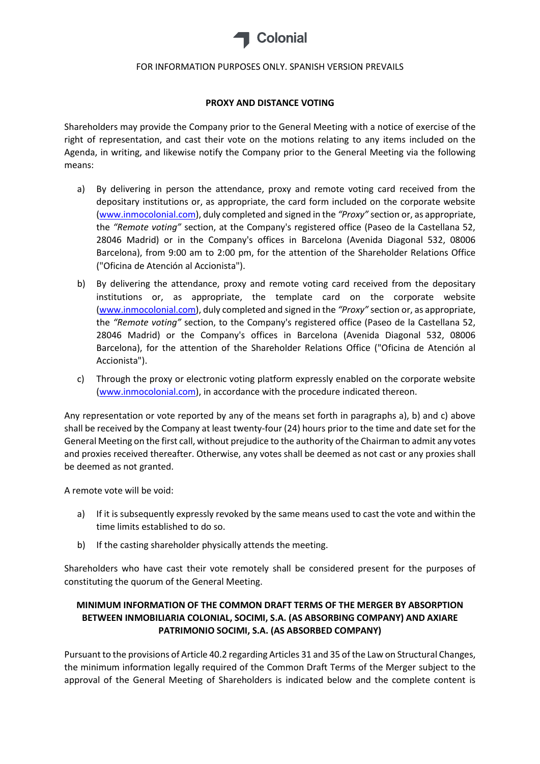

#### **PROXY AND DISTANCE VOTING**

Shareholders may provide the Company prior to the General Meeting with a notice of exercise of the right of representation, and cast their vote on the motions relating to any items included on the Agenda, in writing, and likewise notify the Company prior to the General Meeting via the following means:

- a) By delivering in person the attendance, proxy and remote voting card received from the depositary institutions or, as appropriate, the card form included on the corporate website [\(www.inmocolonial.com\)](http://www.inmocolonial.com/), duly completed and signed in the *"Proxy"* section or, as appropriate, the *"Remote voting"* section, at the Company's registered office (Paseo de la Castellana 52, 28046 Madrid) or in the Company's offices in Barcelona (Avenida Diagonal 532, 08006 Barcelona), from 9:00 am to 2:00 pm, for the attention of the Shareholder Relations Office ("Oficina de Atención al Accionista").
- b) By delivering the attendance, proxy and remote voting card received from the depositary institutions or, as appropriate, the template card on the corporate website [\(www.inmocolonial.com\)](http://www.inmocolonial.com/), duly completed and signed in the *"Proxy"* section or, as appropriate, the *"Remote voting"* section, to the Company's registered office (Paseo de la Castellana 52, 28046 Madrid) or the Company's offices in Barcelona (Avenida Diagonal 532, 08006 Barcelona), for the attention of the Shareholder Relations Office ("Oficina de Atención al Accionista").
- c) Through the proxy or electronic voting platform expressly enabled on the corporate website [\(www.inmocolonial.com\)](http://www.inmocolonial.com/), in accordance with the procedure indicated thereon.

Any representation or vote reported by any of the means set forth in paragraphs a), b) and c) above shall be received by the Company at least twenty-four (24) hours prior to the time and date set for the General Meeting on the first call, without prejudice to the authority of the Chairman to admit any votes and proxies received thereafter. Otherwise, any votes shall be deemed as not cast or any proxies shall be deemed as not granted.

A remote vote will be void:

- a) If it is subsequently expressly revoked by the same means used to cast the vote and within the time limits established to do so.
- b) If the casting shareholder physically attends the meeting.

Shareholders who have cast their vote remotely shall be considered present for the purposes of constituting the quorum of the General Meeting.

# **MINIMUM INFORMATION OF THE COMMON DRAFT TERMS OF THE MERGER BY ABSORPTION BETWEEN INMOBILIARIA COLONIAL, SOCIMI, S.A. (AS ABSORBING COMPANY) AND AXIARE PATRIMONIO SOCIMI, S.A. (AS ABSORBED COMPANY)**

Pursuant to the provisions of Article 40.2 regarding Articles 31 and 35 of the Law on Structural Changes, the minimum information legally required of the Common Draft Terms of the Merger subject to the approval of the General Meeting of Shareholders is indicated below and the complete content is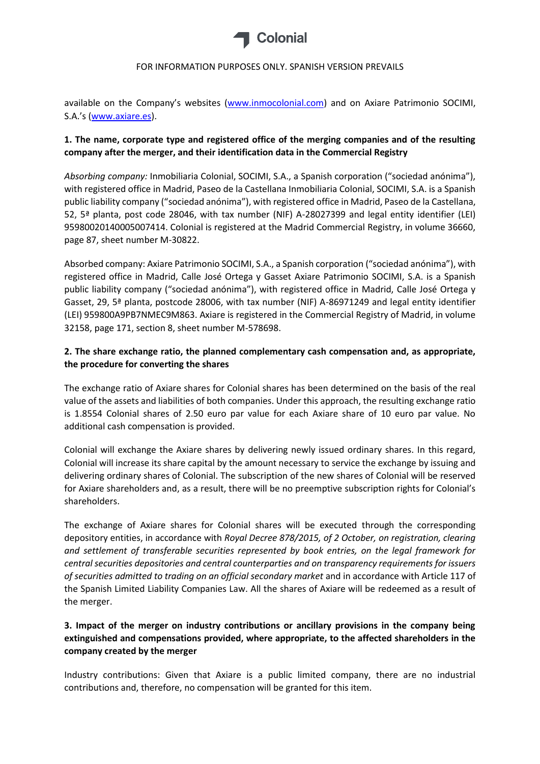

available on the Company's websites ([www.inmocolonial.com\)](http://www.inmocolonial.com/) and on Axiare Patrimonio SOCIMI, S.A.'s ([www.axiare.es\)](http://www.axiare.es/).

# **1. The name, corporate type and registered office of the merging companies and of the resulting company after the merger, and their identification data in the Commercial Registry**

*Absorbing company:* Inmobiliaria Colonial, SOCIMI, S.A., a Spanish corporation ("sociedad anónima"), with registered office in Madrid, Paseo de la Castellana Inmobiliaria Colonial, SOCIMI, S.A. is a Spanish public liability company ("sociedad anónima"), with registered office in Madrid, Paseo de la Castellana, 52, 5ª planta, post code 28046, with tax number (NIF) A-28027399 and legal entity identifier (LEI) 95980020140005007414. Colonial is registered at the Madrid Commercial Registry, in volume 36660, page 87, sheet number M-30822.

Absorbed company: Axiare Patrimonio SOCIMI, S.A., a Spanish corporation ("sociedad anónima"), with registered office in Madrid, Calle José Ortega y Gasset Axiare Patrimonio SOCIMI, S.A. is a Spanish public liability company ("sociedad anónima"), with registered office in Madrid, Calle José Ortega y Gasset, 29, 5ª planta, postcode 28006, with tax number (NIF) A-86971249 and legal entity identifier (LEI) 959800A9PB7NMEC9M863. Axiare is registered in the Commercial Registry of Madrid, in volume 32158, page 171, section 8, sheet number M-578698.

## **2. The share exchange ratio, the planned complementary cash compensation and, as appropriate, the procedure for converting the shares**

The exchange ratio of Axiare shares for Colonial shares has been determined on the basis of the real value of the assets and liabilities of both companies. Under this approach, the resulting exchange ratio is 1.8554 Colonial shares of 2.50 euro par value for each Axiare share of 10 euro par value. No additional cash compensation is provided.

Colonial will exchange the Axiare shares by delivering newly issued ordinary shares. In this regard, Colonial will increase its share capital by the amount necessary to service the exchange by issuing and delivering ordinary shares of Colonial. The subscription of the new shares of Colonial will be reserved for Axiare shareholders and, as a result, there will be no preemptive subscription rights for Colonial's shareholders.

The exchange of Axiare shares for Colonial shares will be executed through the corresponding depository entities, in accordance with *Royal Decree 878/2015, of 2 October, on registration, clearing and settlement of transferable securities represented by book entries, on the legal framework for central securities depositories and central counterparties and on transparency requirements for issuers of securities admitted to trading on an official secondary market* and in accordance with Article 117 of the Spanish Limited Liability Companies Law. All the shares of Axiare will be redeemed as a result of the merger.

# **3. Impact of the merger on industry contributions or ancillary provisions in the company being extinguished and compensations provided, where appropriate, to the affected shareholders in the company created by the merger**

Industry contributions: Given that Axiare is a public limited company, there are no industrial contributions and, therefore, no compensation will be granted for this item.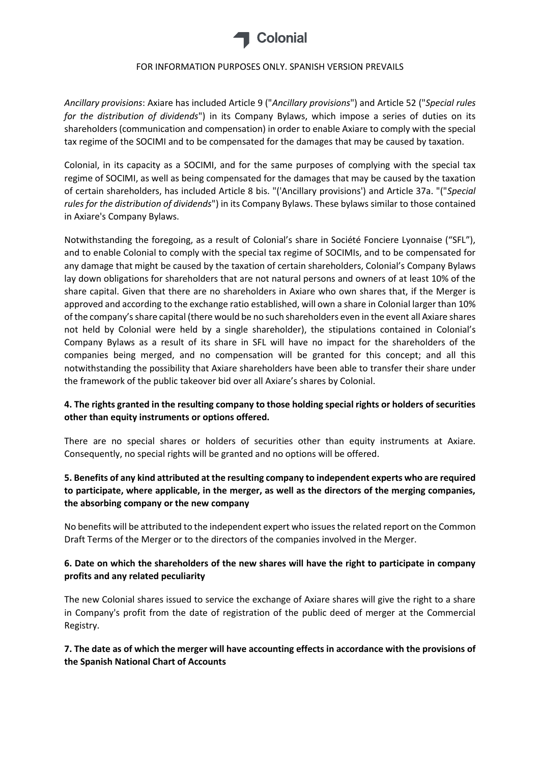

*Ancillary provisions*: Axiare has included Article 9 ("*Ancillary provisions*") and Article 52 ("*Special rules for the distribution of dividends*") in its Company Bylaws, which impose a series of duties on its shareholders (communication and compensation) in order to enable Axiare to comply with the special tax regime of the SOCIMI and to be compensated for the damages that may be caused by taxation.

Colonial, in its capacity as a SOCIMI, and for the same purposes of complying with the special tax regime of SOCIMI, as well as being compensated for the damages that may be caused by the taxation of certain shareholders, has included Article 8 bis. "('Ancillary provisions') and Article 37a. "("*Special rules for the distribution of dividends*") in its Company Bylaws. These bylaws similar to those contained in Axiare's Company Bylaws.

Notwithstanding the foregoing, as a result of Colonial's share in Société Fonciere Lyonnaise ("SFL"), and to enable Colonial to comply with the special tax regime of SOCIMIs, and to be compensated for any damage that might be caused by the taxation of certain shareholders, Colonial's Company Bylaws lay down obligations for shareholders that are not natural persons and owners of at least 10% of the share capital. Given that there are no shareholders in Axiare who own shares that, if the Merger is approved and according to the exchange ratio established, will own a share in Colonial larger than 10% of the company's share capital (there would be no such shareholders even in the event all Axiare shares not held by Colonial were held by a single shareholder), the stipulations contained in Colonial's Company Bylaws as a result of its share in SFL will have no impact for the shareholders of the companies being merged, and no compensation will be granted for this concept; and all this notwithstanding the possibility that Axiare shareholders have been able to transfer their share under the framework of the public takeover bid over all Axiare's shares by Colonial.

# **4. The rights granted in the resulting company to those holding special rights or holders of securities other than equity instruments or options offered.**

There are no special shares or holders of securities other than equity instruments at Axiare. Consequently, no special rights will be granted and no options will be offered.

# **5. Benefits of any kind attributed at the resulting company to independent experts who are required to participate, where applicable, in the merger, as well as the directors of the merging companies, the absorbing company or the new company**

No benefits will be attributed to the independent expert who issues the related report on the Common Draft Terms of the Merger or to the directors of the companies involved in the Merger.

## **6. Date on which the shareholders of the new shares will have the right to participate in company profits and any related peculiarity**

The new Colonial shares issued to service the exchange of Axiare shares will give the right to a share in Company's profit from the date of registration of the public deed of merger at the Commercial Registry.

# **7. The date as of which the merger will have accounting effects in accordance with the provisions of the Spanish National Chart of Accounts**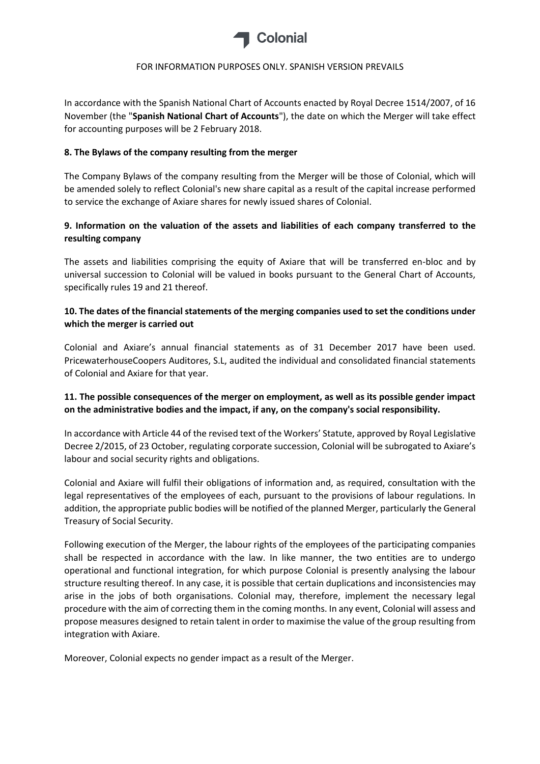

In accordance with the Spanish National Chart of Accounts enacted by Royal Decree 1514/2007, of 16 November (the "**Spanish National Chart of Accounts**"), the date on which the Merger will take effect for accounting purposes will be 2 February 2018.

## **8. The Bylaws of the company resulting from the merger**

The Company Bylaws of the company resulting from the Merger will be those of Colonial, which will be amended solely to reflect Colonial's new share capital as a result of the capital increase performed to service the exchange of Axiare shares for newly issued shares of Colonial.

# **9. Information on the valuation of the assets and liabilities of each company transferred to the resulting company**

The assets and liabilities comprising the equity of Axiare that will be transferred en-bloc and by universal succession to Colonial will be valued in books pursuant to the General Chart of Accounts, specifically rules 19 and 21 thereof.

# **10. The dates of the financial statements of the merging companies used to set the conditions under which the merger is carried out**

Colonial and Axiare's annual financial statements as of 31 December 2017 have been used. PricewaterhouseCoopers Auditores, S.L, audited the individual and consolidated financial statements of Colonial and Axiare for that year.

# **11. The possible consequences of the merger on employment, as well as its possible gender impact on the administrative bodies and the impact, if any, on the company's social responsibility.**

In accordance with Article 44 of the revised text of the Workers' Statute, approved by Royal Legislative Decree 2/2015, of 23 October, regulating corporate succession, Colonial will be subrogated to Axiare's labour and social security rights and obligations.

Colonial and Axiare will fulfil their obligations of information and, as required, consultation with the legal representatives of the employees of each, pursuant to the provisions of labour regulations. In addition, the appropriate public bodies will be notified of the planned Merger, particularly the General Treasury of Social Security.

Following execution of the Merger, the labour rights of the employees of the participating companies shall be respected in accordance with the law. In like manner, the two entities are to undergo operational and functional integration, for which purpose Colonial is presently analysing the labour structure resulting thereof. In any case, it is possible that certain duplications and inconsistencies may arise in the jobs of both organisations. Colonial may, therefore, implement the necessary legal procedure with the aim of correcting them in the coming months. In any event, Colonial will assess and propose measures designed to retain talent in order to maximise the value of the group resulting from integration with Axiare.

Moreover, Colonial expects no gender impact as a result of the Merger.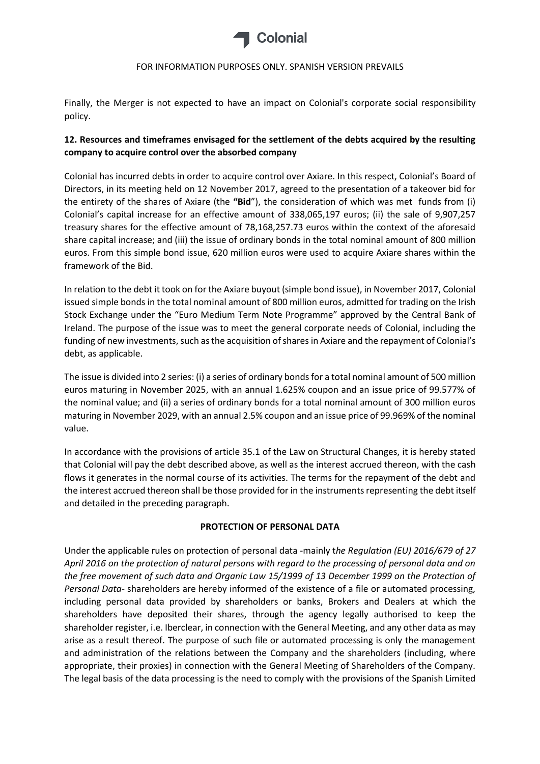

Finally, the Merger is not expected to have an impact on Colonial's corporate social responsibility policy.

# **12. Resources and timeframes envisaged for the settlement of the debts acquired by the resulting company to acquire control over the absorbed company**

Colonial has incurred debts in order to acquire control over Axiare. In this respect, Colonial's Board of Directors, in its meeting held on 12 November 2017, agreed to the presentation of a takeover bid for the entirety of the shares of Axiare (the **"Bid**"), the consideration of which was met funds from (i) Colonial's capital increase for an effective amount of 338,065,197 euros; (ii) the sale of 9,907,257 treasury shares for the effective amount of 78,168,257.73 euros within the context of the aforesaid share capital increase; and (iii) the issue of ordinary bonds in the total nominal amount of 800 million euros. From this simple bond issue, 620 million euros were used to acquire Axiare shares within the framework of the Bid.

In relation to the debt it took on for the Axiare buyout (simple bond issue), in November 2017, Colonial issued simple bonds in the total nominal amount of 800 million euros, admitted for trading on the Irish Stock Exchange under the "Euro Medium Term Note Programme" approved by the Central Bank of Ireland. The purpose of the issue was to meet the general corporate needs of Colonial, including the funding of new investments, such as the acquisition of shares in Axiare and the repayment of Colonial's debt, as applicable.

The issue is divided into 2 series: (i) a series of ordinary bonds for a total nominal amount of 500 million euros maturing in November 2025, with an annual 1.625% coupon and an issue price of 99.577% of the nominal value; and (ii) a series of ordinary bonds for a total nominal amount of 300 million euros maturing in November 2029, with an annual 2.5% coupon and an issue price of 99.969% of the nominal value.

In accordance with the provisions of article 35.1 of the Law on Structural Changes, it is hereby stated that Colonial will pay the debt described above, as well as the interest accrued thereon, with the cash flows it generates in the normal course of its activities. The terms for the repayment of the debt and the interest accrued thereon shall be those provided for in the instruments representing the debt itself and detailed in the preceding paragraph.

### **PROTECTION OF PERSONAL DATA**

Under the applicable rules on protection of personal data -mainly t*he Regulation (EU) 2016/679 of 27 April 2016 on the protection of natural persons with regard to the processing of personal data and on the free movement of such data and Organic Law 15/1999 of 13 December 1999 on the Protection of Personal Data*- shareholders are hereby informed of the existence of a file or automated processing, including personal data provided by shareholders or banks, Brokers and Dealers at which the shareholders have deposited their shares, through the agency legally authorised to keep the shareholder register, i.e. Iberclear, in connection with the General Meeting, and any other data as may arise as a result thereof. The purpose of such file or automated processing is only the management and administration of the relations between the Company and the shareholders (including, where appropriate, their proxies) in connection with the General Meeting of Shareholders of the Company. The legal basis of the data processing is the need to comply with the provisions of the Spanish Limited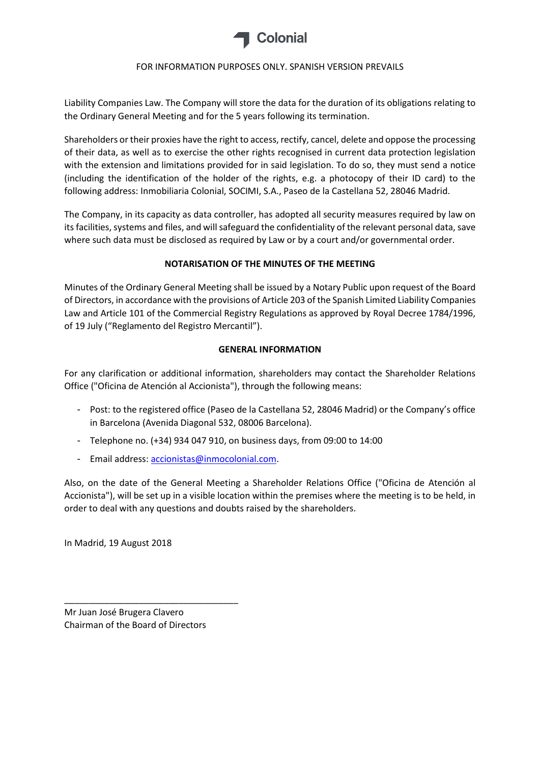

Liability Companies Law. The Company will store the data for the duration of its obligations relating to the Ordinary General Meeting and for the 5 years following its termination.

Shareholders or their proxies have the right to access, rectify, cancel, delete and oppose the processing of their data, as well as to exercise the other rights recognised in current data protection legislation with the extension and limitations provided for in said legislation. To do so, they must send a notice (including the identification of the holder of the rights, e.g. a photocopy of their ID card) to the following address: Inmobiliaria Colonial, SOCIMI, S.A., Paseo de la Castellana 52, 28046 Madrid.

The Company, in its capacity as data controller, has adopted all security measures required by law on its facilities, systems and files, and will safeguard the confidentiality of the relevant personal data, save where such data must be disclosed as required by Law or by a court and/or governmental order.

## **NOTARISATION OF THE MINUTES OF THE MEETING**

Minutes of the Ordinary General Meeting shall be issued by a Notary Public upon request of the Board of Directors, in accordance with the provisions of Article 203 of the Spanish Limited Liability Companies Law and Article 101 of the Commercial Registry Regulations as approved by Royal Decree 1784/1996, of 19 July ("Reglamento del Registro Mercantil").

## **GENERAL INFORMATION**

For any clarification or additional information, shareholders may contact the Shareholder Relations Office ("Oficina de Atención al Accionista"), through the following means:

- Post: to the registered office (Paseo de la Castellana 52, 28046 Madrid) or the Company's office in Barcelona (Avenida Diagonal 532, 08006 Barcelona).
- Telephone no. (+34) 934 047 910, on business days, from 09:00 to 14:00
- Email address[: accionistas@inmocolonial.com.](mailto:accionistas@inmocolonial.com)

Also, on the date of the General Meeting a Shareholder Relations Office ("Oficina de Atención al Accionista"), will be set up in a visible location within the premises where the meeting is to be held, in order to deal with any questions and doubts raised by the shareholders.

In Madrid, 19 August 2018

Mr Juan José Brugera Clavero Chairman of the Board of Directors

\_\_\_\_\_\_\_\_\_\_\_\_\_\_\_\_\_\_\_\_\_\_\_\_\_\_\_\_\_\_\_\_\_\_\_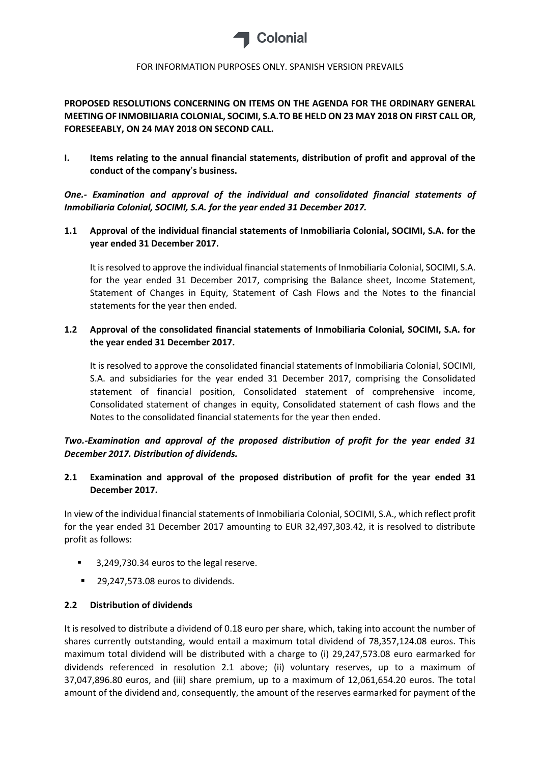

# **PROPOSED RESOLUTIONS CONCERNING ON ITEMS ON THE AGENDA FOR THE ORDINARY GENERAL MEETING OF INMOBILIARIA COLONIAL, SOCIMI, S.A.TO BE HELD ON 23 MAY 2018 ON FIRST CALL OR, FORESEEABLY, ON 24 MAY 2018 ON SECOND CALL.**

**I. Items relating to the annual financial statements, distribution of profit and approval of the conduct of the company**'**s business.**

*One.- Examination and approval of the individual and consolidated financial statements of Inmobiliaria Colonial, SOCIMI, S.A. for the year ended 31 December 2017.*

**1.1 Approval of the individual financial statements of Inmobiliaria Colonial, SOCIMI, S.A. for the year ended 31 December 2017.**

It is resolved to approve the individual financial statements of Inmobiliaria Colonial, SOCIMI, S.A. for the year ended 31 December 2017, comprising the Balance sheet, Income Statement, Statement of Changes in Equity, Statement of Cash Flows and the Notes to the financial statements for the year then ended.

## **1.2 Approval of the consolidated financial statements of Inmobiliaria Colonial, SOCIMI, S.A. for the year ended 31 December 2017.**

It is resolved to approve the consolidated financial statements of Inmobiliaria Colonial, SOCIMI, S.A. and subsidiaries for the year ended 31 December 2017, comprising the Consolidated statement of financial position, Consolidated statement of comprehensive income, Consolidated statement of changes in equity, Consolidated statement of cash flows and the Notes to the consolidated financial statements for the year then ended.

# *Two.-Examination and approval of the proposed distribution of profit for the year ended 31 December 2017. Distribution of dividends.*

# **2.1 Examination and approval of the proposed distribution of profit for the year ended 31 December 2017.**

In view of the individual financial statements of Inmobiliaria Colonial, SOCIMI, S.A., which reflect profit for the year ended 31 December 2017 amounting to EUR 32,497,303.42, it is resolved to distribute profit as follows:

- 3,249,730.34 euros to the legal reserve.
- 29,247,573.08 euros to dividends.

### **2.2 Distribution of dividends**

It is resolved to distribute a dividend of 0.18 euro per share, which, taking into account the number of shares currently outstanding, would entail a maximum total dividend of 78,357,124.08 euros. This maximum total dividend will be distributed with a charge to (i) 29,247,573.08 euro earmarked for dividends referenced in resolution 2.1 above; (ii) voluntary reserves, up to a maximum of 37,047,896.80 euros, and (iii) share premium, up to a maximum of 12,061,654.20 euros. The total amount of the dividend and, consequently, the amount of the reserves earmarked for payment of the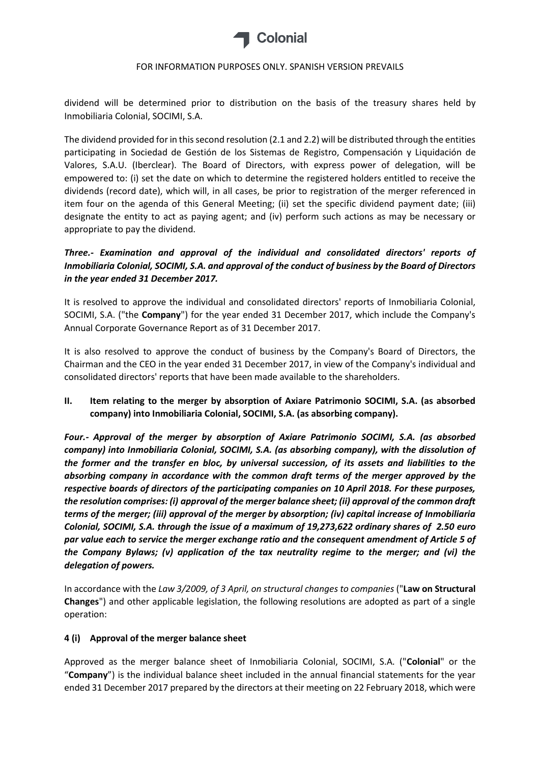

dividend will be determined prior to distribution on the basis of the treasury shares held by Inmobiliaria Colonial, SOCIMI, S.A.

The dividend provided for in this second resolution (2.1 and 2.2) will be distributed through the entities participating in Sociedad de Gestión de los Sistemas de Registro, Compensación y Liquidación de Valores, S.A.U. (Iberclear). The Board of Directors, with express power of delegation, will be empowered to: (i) set the date on which to determine the registered holders entitled to receive the dividends (record date), which will, in all cases, be prior to registration of the merger referenced in item four on the agenda of this General Meeting; (ii) set the specific dividend payment date; (iii) designate the entity to act as paying agent; and (iv) perform such actions as may be necessary or appropriate to pay the dividend.

# *Three.- Examination and approval of the individual and consolidated directors' reports of Inmobiliaria Colonial, SOCIMI, S.A. and approval of the conduct of business by the Board of Directors in the year ended 31 December 2017.*

It is resolved to approve the individual and consolidated directors' reports of Inmobiliaria Colonial, SOCIMI, S.A. ("the **Company**") for the year ended 31 December 2017, which include the Company's Annual Corporate Governance Report as of 31 December 2017.

It is also resolved to approve the conduct of business by the Company's Board of Directors, the Chairman and the CEO in the year ended 31 December 2017, in view of the Company's individual and consolidated directors' reports that have been made available to the shareholders.

**II. Item relating to the merger by absorption of Axiare Patrimonio SOCIMI, S.A. (as absorbed company) into Inmobiliaria Colonial, SOCIMI, S.A. (as absorbing company).**

*Four.- Approval of the merger by absorption of Axiare Patrimonio SOCIMI, S.A. (as absorbed company) into Inmobiliaria Colonial, SOCIMI, S.A. (as absorbing company), with the dissolution of the former and the transfer en bloc, by universal succession, of its assets and liabilities to the absorbing company in accordance with the common draft terms of the merger approved by the respective boards of directors of the participating companies on 10 April 2018. For these purposes, the resolution comprises: (i) approval of the merger balance sheet; (ii) approval of the common draft terms of the merger; (iii) approval of the merger by absorption; (iv) capital increase of Inmobiliaria Colonial, SOCIMI, S.A. through the issue of a maximum of 19,273,622 ordinary shares of 2.50 euro par value each to service the merger exchange ratio and the consequent amendment of Article 5 of the Company Bylaws; (v) application of the tax neutrality regime to the merger; and (vi) the delegation of powers.*

In accordance with the *Law 3/2009, of 3 April, on structural changes to companies* ("**Law on Structural Changes**") and other applicable legislation, the following resolutions are adopted as part of a single operation:

### **4 (i) Approval of the merger balance sheet**

Approved as the merger balance sheet of Inmobiliaria Colonial, SOCIMI, S.A. ("**Colonial**" or the "**Company**") is the individual balance sheet included in the annual financial statements for the year ended 31 December 2017 prepared by the directors at their meeting on 22 February 2018, which were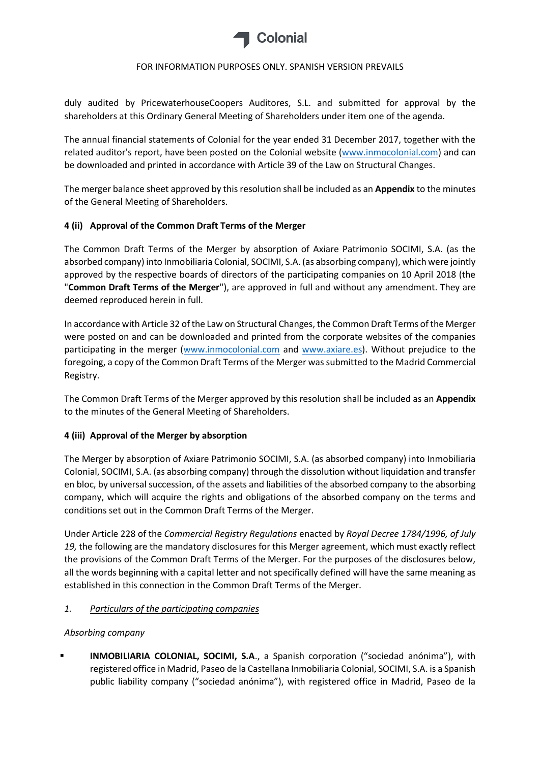

duly audited by PricewaterhouseCoopers Auditores, S.L. and submitted for approval by the shareholders at this Ordinary General Meeting of Shareholders under item one of the agenda.

The annual financial statements of Colonial for the year ended 31 December 2017, together with the related auditor's report, have been posted on the Colonial website [\(www.inmocolonial.com\)](http://www.inmocolonial.com/) and can be downloaded and printed in accordance with Article 39 of the Law on Structural Changes.

The merger balance sheet approved by this resolution shall be included as an **Appendix** to the minutes of the General Meeting of Shareholders.

## **4 (ii) Approval of the Common Draft Terms of the Merger**

The Common Draft Terms of the Merger by absorption of Axiare Patrimonio SOCIMI, S.A. (as the absorbed company) into Inmobiliaria Colonial, SOCIMI, S.A. (as absorbing company), which were jointly approved by the respective boards of directors of the participating companies on 10 April 2018 (the "**Common Draft Terms of the Merger**"), are approved in full and without any amendment. They are deemed reproduced herein in full.

In accordance with Article 32 of the Law on Structural Changes, the Common Draft Terms of the Merger were posted on and can be downloaded and printed from the corporate websites of the companies participating in the merger [\(www.inmocolonial.com](http://www.inmocolonial.com/) and [www.axiare.es\)](http://www.axiare.es/). Without prejudice to the foregoing, a copy of the Common Draft Terms of the Merger was submitted to the Madrid Commercial Registry.

The Common Draft Terms of the Merger approved by this resolution shall be included as an **Appendix** to the minutes of the General Meeting of Shareholders.

# **4 (iii) Approval of the Merger by absorption**

The Merger by absorption of Axiare Patrimonio SOCIMI, S.A. (as absorbed company) into Inmobiliaria Colonial, SOCIMI, S.A. (as absorbing company) through the dissolution without liquidation and transfer en bloc, by universal succession, of the assets and liabilities of the absorbed company to the absorbing company, which will acquire the rights and obligations of the absorbed company on the terms and conditions set out in the Common Draft Terms of the Merger.

Under Article 228 of the *Commercial Registry Regulations* enacted by *Royal Decree 1784/1996, of July 19,* the following are the mandatory disclosures for this Merger agreement, which must exactly reflect the provisions of the Common Draft Terms of the Merger. For the purposes of the disclosures below, all the words beginning with a capital letter and not specifically defined will have the same meaning as established in this connection in the Common Draft Terms of the Merger.

### *1. Particulars of the participating companies*

### *Absorbing company*

 **INMOBILIARIA COLONIAL, SOCIMI, S.A**., a Spanish corporation ("sociedad anónima"), with registered office in Madrid, Paseo de la Castellana Inmobiliaria Colonial, SOCIMI, S.A. is a Spanish public liability company ("sociedad anónima"), with registered office in Madrid, Paseo de la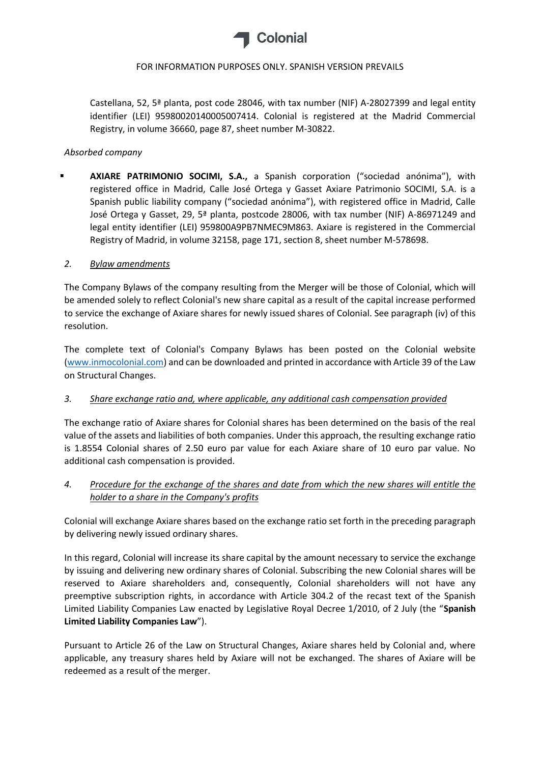

Castellana, 52, 5ª planta, post code 28046, with tax number (NIF) A-28027399 and legal entity identifier (LEI) 95980020140005007414. Colonial is registered at the Madrid Commercial Registry, in volume 36660, page 87, sheet number M-30822.

### *Absorbed company*

 **AXIARE PATRIMONIO SOCIMI, S.A.,** a Spanish corporation ("sociedad anónima"), with registered office in Madrid, Calle José Ortega y Gasset Axiare Patrimonio SOCIMI, S.A. is a Spanish public liability company ("sociedad anónima"), with registered office in Madrid, Calle José Ortega y Gasset, 29, 5ª planta, postcode 28006, with tax number (NIF) A-86971249 and legal entity identifier (LEI) 959800A9PB7NMEC9M863. Axiare is registered in the Commercial Registry of Madrid, in volume 32158, page 171, section 8, sheet number M-578698.

### *2. Bylaw amendments*

The Company Bylaws of the company resulting from the Merger will be those of Colonial, which will be amended solely to reflect Colonial's new share capital as a result of the capital increase performed to service the exchange of Axiare shares for newly issued shares of Colonial. See paragraph (iv) of this resolution.

The complete text of Colonial's Company Bylaws has been posted on the Colonial website [\(www.inmocolonial.com\)](http://www.inmocolonial.com/) and can be downloaded and printed in accordance with Article 39 of the Law on Structural Changes.

### *3. Share exchange ratio and, where applicable, any additional cash compensation provided*

The exchange ratio of Axiare shares for Colonial shares has been determined on the basis of the real value of the assets and liabilities of both companies. Under this approach, the resulting exchange ratio is 1.8554 Colonial shares of 2.50 euro par value for each Axiare share of 10 euro par value. No additional cash compensation is provided.

# *4. Procedure for the exchange of the shares and date from which the new shares will entitle the holder to a share in the Company's profits*

Colonial will exchange Axiare shares based on the exchange ratio set forth in the preceding paragraph by delivering newly issued ordinary shares.

In this regard, Colonial will increase its share capital by the amount necessary to service the exchange by issuing and delivering new ordinary shares of Colonial. Subscribing the new Colonial shares will be reserved to Axiare shareholders and, consequently, Colonial shareholders will not have any preemptive subscription rights, in accordance with Article 304.2 of the recast text of the Spanish Limited Liability Companies Law enacted by Legislative Royal Decree 1/2010, of 2 July (the "**Spanish Limited Liability Companies Law**").

Pursuant to Article 26 of the Law on Structural Changes, Axiare shares held by Colonial and, where applicable, any treasury shares held by Axiare will not be exchanged. The shares of Axiare will be redeemed as a result of the merger.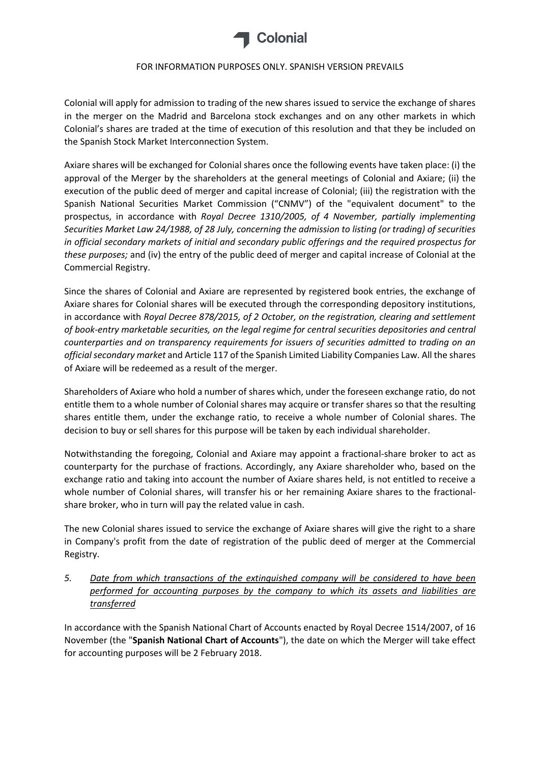

Colonial will apply for admission to trading of the new shares issued to service the exchange of shares in the merger on the Madrid and Barcelona stock exchanges and on any other markets in which Colonial's shares are traded at the time of execution of this resolution and that they be included on the Spanish Stock Market Interconnection System.

Axiare shares will be exchanged for Colonial shares once the following events have taken place: (i) the approval of the Merger by the shareholders at the general meetings of Colonial and Axiare; (ii) the execution of the public deed of merger and capital increase of Colonial; (iii) the registration with the Spanish National Securities Market Commission ("CNMV") of the "equivalent document" to the prospectus, in accordance with *Royal Decree 1310/2005, of 4 November, partially implementing Securities Market Law 24/1988, of 28 July, concerning the admission to listing (or trading) of securities in official secondary markets of initial and secondary public offerings and the required prospectus for these purposes;* and (iv) the entry of the public deed of merger and capital increase of Colonial at the Commercial Registry.

Since the shares of Colonial and Axiare are represented by registered book entries, the exchange of Axiare shares for Colonial shares will be executed through the corresponding depository institutions, in accordance with *Royal Decree 878/2015, of 2 October, on the registration, clearing and settlement of book-entry marketable securities, on the legal regime for central securities depositories and central counterparties and on transparency requirements for issuers of securities admitted to trading on an official secondary market* and Article 117 of the Spanish Limited Liability Companies Law. All the shares of Axiare will be redeemed as a result of the merger.

Shareholders of Axiare who hold a number of shares which, under the foreseen exchange ratio, do not entitle them to a whole number of Colonial shares may acquire or transfer shares so that the resulting shares entitle them, under the exchange ratio, to receive a whole number of Colonial shares. The decision to buy or sell shares for this purpose will be taken by each individual shareholder.

Notwithstanding the foregoing, Colonial and Axiare may appoint a fractional-share broker to act as counterparty for the purchase of fractions. Accordingly, any Axiare shareholder who, based on the exchange ratio and taking into account the number of Axiare shares held, is not entitled to receive a whole number of Colonial shares, will transfer his or her remaining Axiare shares to the fractionalshare broker, who in turn will pay the related value in cash.

The new Colonial shares issued to service the exchange of Axiare shares will give the right to a share in Company's profit from the date of registration of the public deed of merger at the Commercial Registry.

*5. Date from which transactions of the extinguished company will be considered to have been performed for accounting purposes by the company to which its assets and liabilities are transferred*

In accordance with the Spanish National Chart of Accounts enacted by Royal Decree 1514/2007, of 16 November (the "**Spanish National Chart of Accounts**"), the date on which the Merger will take effect for accounting purposes will be 2 February 2018.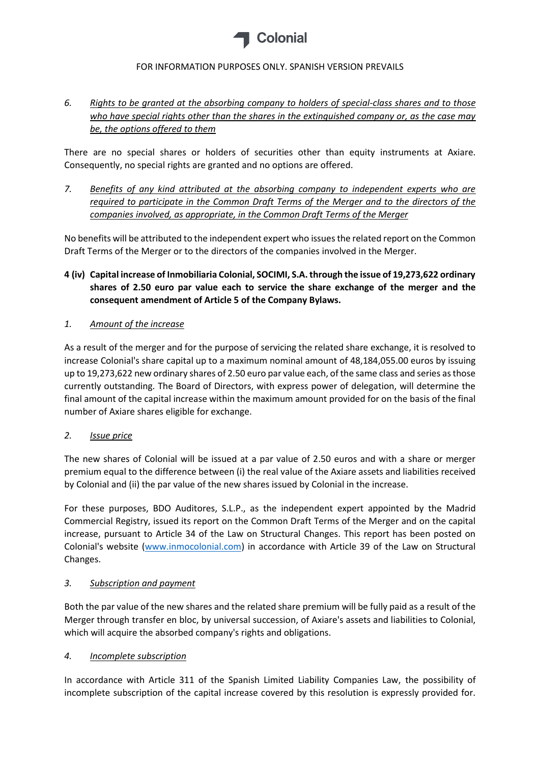

# *6. Rights to be granted at the absorbing company to holders of special-class shares and to those who have special rights other than the shares in the extinguished company or, as the case may be, the options offered to them*

There are no special shares or holders of securities other than equity instruments at Axiare. Consequently, no special rights are granted and no options are offered.

*7. Benefits of any kind attributed at the absorbing company to independent experts who are required to participate in the Common Draft Terms of the Merger and to the directors of the companies involved, as appropriate, in the Common Draft Terms of the Merger*

No benefits will be attributed to the independent expert who issues the related report on the Common Draft Terms of the Merger or to the directors of the companies involved in the Merger.

**4 (iv) Capital increase of Inmobiliaria Colonial, SOCIMI, S.A. through the issue of 19,273,622 ordinary shares of 2.50 euro par value each to service the share exchange of the merger and the consequent amendment of Article 5 of the Company Bylaws.**

## *1. Amount of the increase*

As a result of the merger and for the purpose of servicing the related share exchange, it is resolved to increase Colonial's share capital up to a maximum nominal amount of 48,184,055.00 euros by issuing up to 19,273,622 new ordinary shares of 2.50 euro par value each, of the same class and series as those currently outstanding. The Board of Directors, with express power of delegation, will determine the final amount of the capital increase within the maximum amount provided for on the basis of the final number of Axiare shares eligible for exchange.

# *2. Issue price*

The new shares of Colonial will be issued at a par value of 2.50 euros and with a share or merger premium equal to the difference between (i) the real value of the Axiare assets and liabilities received by Colonial and (ii) the par value of the new shares issued by Colonial in the increase.

For these purposes, BDO Auditores, S.L.P., as the independent expert appointed by the Madrid Commercial Registry, issued its report on the Common Draft Terms of the Merger and on the capital increase, pursuant to Article 34 of the Law on Structural Changes. This report has been posted on Colonial's website [\(www.inmocolonial.com\)](http://www.inmocolonial.com/) in accordance with Article 39 of the Law on Structural Changes.

### *3. Subscription and payment*

Both the par value of the new shares and the related share premium will be fully paid as a result of the Merger through transfer en bloc, by universal succession, of Axiare's assets and liabilities to Colonial, which will acquire the absorbed company's rights and obligations.

### *4. Incomplete subscription*

In accordance with Article 311 of the Spanish Limited Liability Companies Law, the possibility of incomplete subscription of the capital increase covered by this resolution is expressly provided for.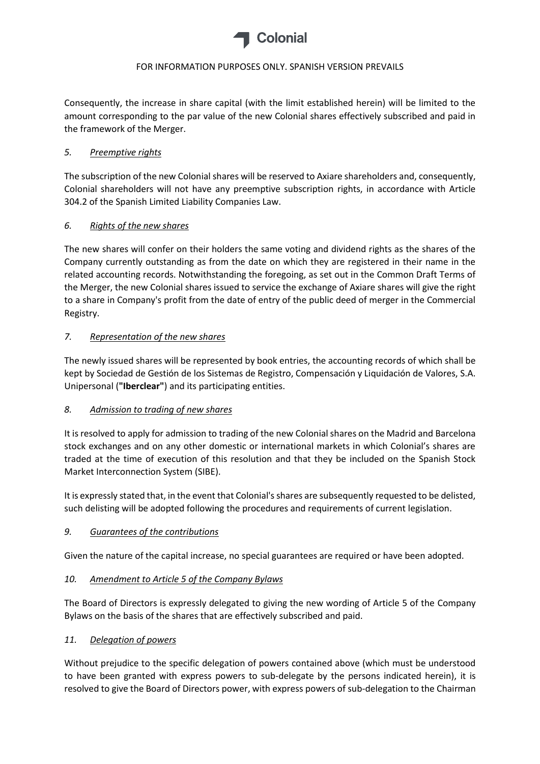

Consequently, the increase in share capital (with the limit established herein) will be limited to the amount corresponding to the par value of the new Colonial shares effectively subscribed and paid in the framework of the Merger.

### *5. Preemptive rights*

The subscription of the new Colonial shares will be reserved to Axiare shareholders and, consequently, Colonial shareholders will not have any preemptive subscription rights, in accordance with Article 304.2 of the Spanish Limited Liability Companies Law.

## *6. Rights of the new shares*

The new shares will confer on their holders the same voting and dividend rights as the shares of the Company currently outstanding as from the date on which they are registered in their name in the related accounting records. Notwithstanding the foregoing, as set out in the Common Draft Terms of the Merger, the new Colonial shares issued to service the exchange of Axiare shares will give the right to a share in Company's profit from the date of entry of the public deed of merger in the Commercial Registry.

## *7. Representation of the new shares*

The newly issued shares will be represented by book entries, the accounting records of which shall be kept by Sociedad de Gestión de los Sistemas de Registro, Compensación y Liquidación de Valores, S.A. Unipersonal (**"Iberclear"**) and its participating entities.

# *8. Admission to trading of new shares*

It is resolved to apply for admission to trading of the new Colonial shares on the Madrid and Barcelona stock exchanges and on any other domestic or international markets in which Colonial's shares are traded at the time of execution of this resolution and that they be included on the Spanish Stock Market Interconnection System (SIBE).

It is expressly stated that, in the event that Colonial's shares are subsequently requested to be delisted, such delisting will be adopted following the procedures and requirements of current legislation.

### *9. Guarantees of the contributions*

Given the nature of the capital increase, no special guarantees are required or have been adopted.

### *10. Amendment to Article 5 of the Company Bylaws*

The Board of Directors is expressly delegated to giving the new wording of Article 5 of the Company Bylaws on the basis of the shares that are effectively subscribed and paid.

### *11. Delegation of powers*

Without prejudice to the specific delegation of powers contained above (which must be understood to have been granted with express powers to sub-delegate by the persons indicated herein), it is resolved to give the Board of Directors power, with express powers of sub-delegation to the Chairman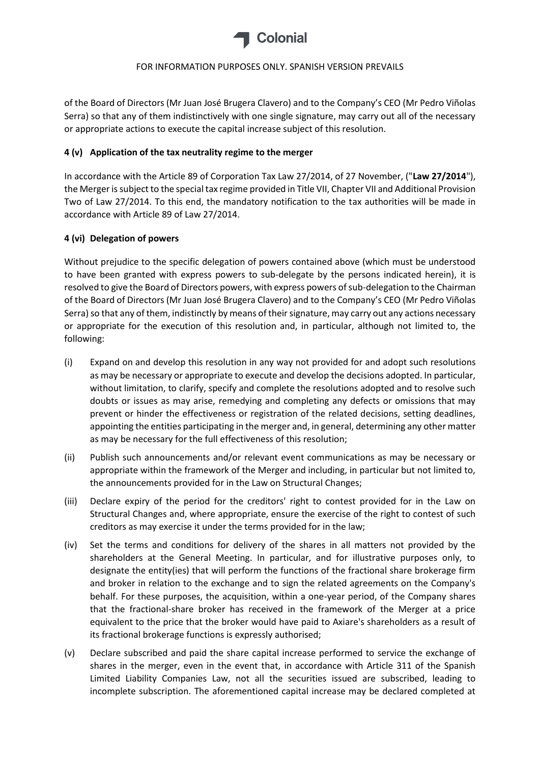

of the Board of Directors (Mr Juan José Brugera Clavero) and to the Company's CEO (Mr Pedro Viñolas Serra) so that any of them indistinctively with one single signature, may carry out all of the necessary or appropriate actions to execute the capital increase subject of this resolution.

## **4 (v) Application of the tax neutrality regime to the merger**

In accordance with the Article 89 of Corporation Tax Law 27/2014, of 27 November, ("**Law 27/2014**"), the Merger is subject to the special tax regime provided in Title VII, Chapter VII and Additional Provision Two of Law 27/2014. To this end, the mandatory notification to the tax authorities will be made in accordance with Article 89 of Law 27/2014.

## **4 (vi) Delegation of powers**

Without prejudice to the specific delegation of powers contained above (which must be understood to have been granted with express powers to sub-delegate by the persons indicated herein), it is resolved to give the Board of Directors powers, with express powers of sub-delegation to the Chairman of the Board of Directors (Mr Juan José Brugera Clavero) and to the Company's CEO (Mr Pedro Viñolas Serra) so that any of them, indistinctly by means of their signature, may carry out any actions necessary or appropriate for the execution of this resolution and, in particular, although not limited to, the following:

- (i) Expand on and develop this resolution in any way not provided for and adopt such resolutions as may be necessary or appropriate to execute and develop the decisions adopted. In particular, without limitation, to clarify, specify and complete the resolutions adopted and to resolve such doubts or issues as may arise, remedying and completing any defects or omissions that may prevent or hinder the effectiveness or registration of the related decisions, setting deadlines, appointing the entities participating in the merger and, in general, determining any other matter as may be necessary for the full effectiveness of this resolution;
- (ii) Publish such announcements and/or relevant event communications as may be necessary or appropriate within the framework of the Merger and including, in particular but not limited to, the announcements provided for in the Law on Structural Changes;
- (iii) Declare expiry of the period for the creditors' right to contest provided for in the Law on Structural Changes and, where appropriate, ensure the exercise of the right to contest of such creditors as may exercise it under the terms provided for in the law;
- (iv) Set the terms and conditions for delivery of the shares in all matters not provided by the shareholders at the General Meeting. In particular, and for illustrative purposes only, to designate the entity(ies) that will perform the functions of the fractional share brokerage firm and broker in relation to the exchange and to sign the related agreements on the Company's behalf. For these purposes, the acquisition, within a one-year period, of the Company shares that the fractional-share broker has received in the framework of the Merger at a price equivalent to the price that the broker would have paid to Axiare's shareholders as a result of its fractional brokerage functions is expressly authorised;
- (v) Declare subscribed and paid the share capital increase performed to service the exchange of shares in the merger, even in the event that, in accordance with Article 311 of the Spanish Limited Liability Companies Law, not all the securities issued are subscribed, leading to incomplete subscription. The aforementioned capital increase may be declared completed at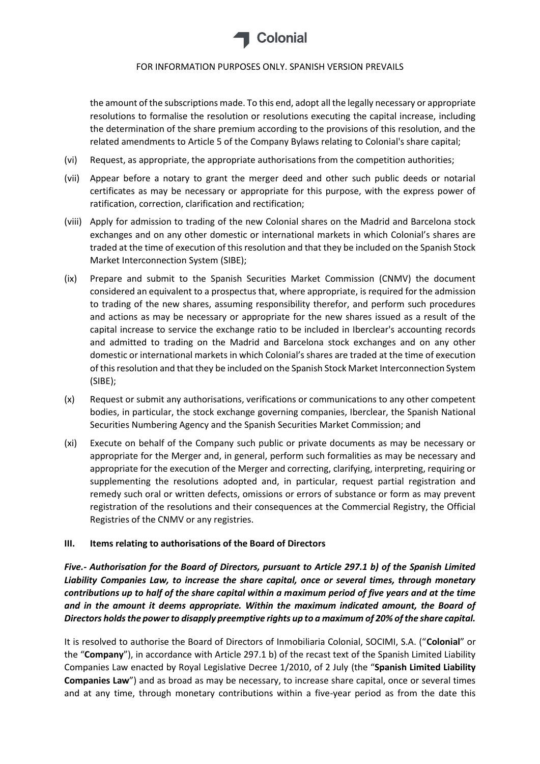

the amount of the subscriptions made. To this end, adopt all the legally necessary or appropriate resolutions to formalise the resolution or resolutions executing the capital increase, including the determination of the share premium according to the provisions of this resolution, and the related amendments to Article 5 of the Company Bylaws relating to Colonial's share capital;

- (vi) Request, as appropriate, the appropriate authorisations from the competition authorities;
- (vii) Appear before a notary to grant the merger deed and other such public deeds or notarial certificates as may be necessary or appropriate for this purpose, with the express power of ratification, correction, clarification and rectification;
- (viii) Apply for admission to trading of the new Colonial shares on the Madrid and Barcelona stock exchanges and on any other domestic or international markets in which Colonial's shares are traded at the time of execution of this resolution and that they be included on the Spanish Stock Market Interconnection System (SIBE);
- (ix) Prepare and submit to the Spanish Securities Market Commission (CNMV) the document considered an equivalent to a prospectus that, where appropriate, is required for the admission to trading of the new shares, assuming responsibility therefor, and perform such procedures and actions as may be necessary or appropriate for the new shares issued as a result of the capital increase to service the exchange ratio to be included in Iberclear's accounting records and admitted to trading on the Madrid and Barcelona stock exchanges and on any other domestic or international markets in which Colonial's shares are traded at the time of execution of this resolution and that they be included on the Spanish Stock Market Interconnection System (SIBE);
- (x) Request or submit any authorisations, verifications or communications to any other competent bodies, in particular, the stock exchange governing companies, Iberclear, the Spanish National Securities Numbering Agency and the Spanish Securities Market Commission; and
- (xi) Execute on behalf of the Company such public or private documents as may be necessary or appropriate for the Merger and, in general, perform such formalities as may be necessary and appropriate for the execution of the Merger and correcting, clarifying, interpreting, requiring or supplementing the resolutions adopted and, in particular, request partial registration and remedy such oral or written defects, omissions or errors of substance or form as may prevent registration of the resolutions and their consequences at the Commercial Registry, the Official Registries of the CNMV or any registries.

### **III. Items relating to authorisations of the Board of Directors**

*Five.- Authorisation for the Board of Directors, pursuant to Article 297.1 b) of the Spanish Limited Liability Companies Law, to increase the share capital, once or several times, through monetary contributions up to half of the share capital within a maximum period of five years and at the time and in the amount it deems appropriate. Within the maximum indicated amount, the Board of Directors holds the power to disapply preemptive rights up to a maximum of 20% of the share capital.*

It is resolved to authorise the Board of Directors of Inmobiliaria Colonial, SOCIMI, S.A. ("**Colonial**" or the "**Company**"), in accordance with Article 297.1 b) of the recast text of the Spanish Limited Liability Companies Law enacted by Royal Legislative Decree 1/2010, of 2 July (the "**Spanish Limited Liability Companies Law**") and as broad as may be necessary, to increase share capital, once or several times and at any time, through monetary contributions within a five-year period as from the date this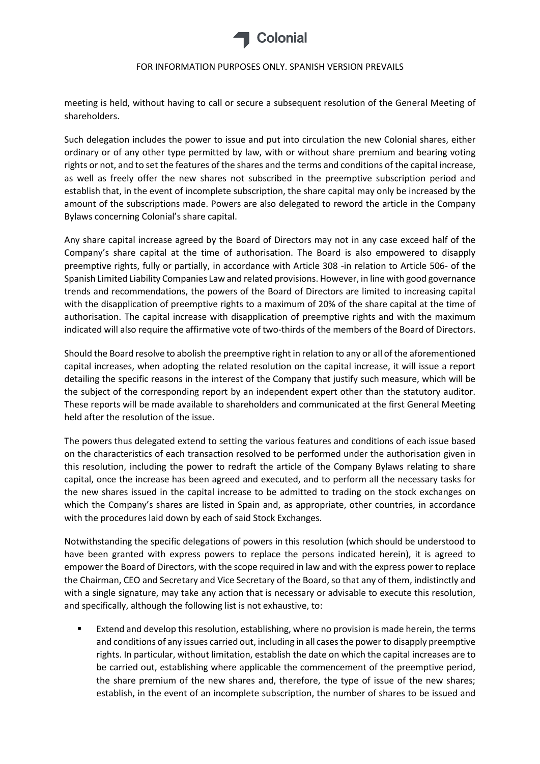

meeting is held, without having to call or secure a subsequent resolution of the General Meeting of shareholders.

Such delegation includes the power to issue and put into circulation the new Colonial shares, either ordinary or of any other type permitted by law, with or without share premium and bearing voting rights or not, and to set the features of the shares and the terms and conditions of the capital increase, as well as freely offer the new shares not subscribed in the preemptive subscription period and establish that, in the event of incomplete subscription, the share capital may only be increased by the amount of the subscriptions made. Powers are also delegated to reword the article in the Company Bylaws concerning Colonial's share capital.

Any share capital increase agreed by the Board of Directors may not in any case exceed half of the Company's share capital at the time of authorisation. The Board is also empowered to disapply preemptive rights, fully or partially, in accordance with Article 308 -in relation to Article 506- of the Spanish Limited Liability Companies Law and related provisions. However, in line with good governance trends and recommendations, the powers of the Board of Directors are limited to increasing capital with the disapplication of preemptive rights to a maximum of 20% of the share capital at the time of authorisation. The capital increase with disapplication of preemptive rights and with the maximum indicated will also require the affirmative vote of two-thirds of the members of the Board of Directors.

Should the Board resolve to abolish the preemptive right in relation to any or all of the aforementioned capital increases, when adopting the related resolution on the capital increase, it will issue a report detailing the specific reasons in the interest of the Company that justify such measure, which will be the subject of the corresponding report by an independent expert other than the statutory auditor. These reports will be made available to shareholders and communicated at the first General Meeting held after the resolution of the issue.

The powers thus delegated extend to setting the various features and conditions of each issue based on the characteristics of each transaction resolved to be performed under the authorisation given in this resolution, including the power to redraft the article of the Company Bylaws relating to share capital, once the increase has been agreed and executed, and to perform all the necessary tasks for the new shares issued in the capital increase to be admitted to trading on the stock exchanges on which the Company's shares are listed in Spain and, as appropriate, other countries, in accordance with the procedures laid down by each of said Stock Exchanges.

Notwithstanding the specific delegations of powers in this resolution (which should be understood to have been granted with express powers to replace the persons indicated herein), it is agreed to empower the Board of Directors, with the scope required in law and with the express power to replace the Chairman, CEO and Secretary and Vice Secretary of the Board, so that any of them, indistinctly and with a single signature, may take any action that is necessary or advisable to execute this resolution, and specifically, although the following list is not exhaustive, to:

 Extend and develop this resolution, establishing, where no provision is made herein, the terms and conditions of any issues carried out, including in all cases the power to disapply preemptive rights. In particular, without limitation, establish the date on which the capital increases are to be carried out, establishing where applicable the commencement of the preemptive period, the share premium of the new shares and, therefore, the type of issue of the new shares; establish, in the event of an incomplete subscription, the number of shares to be issued and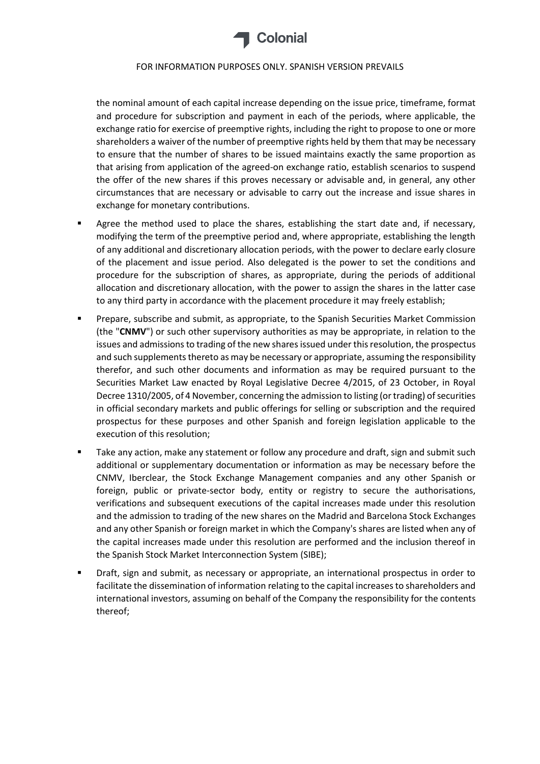

the nominal amount of each capital increase depending on the issue price, timeframe, format and procedure for subscription and payment in each of the periods, where applicable, the exchange ratio for exercise of preemptive rights, including the right to propose to one or more shareholders a waiver of the number of preemptive rights held by them that may be necessary to ensure that the number of shares to be issued maintains exactly the same proportion as that arising from application of the agreed-on exchange ratio, establish scenarios to suspend the offer of the new shares if this proves necessary or advisable and, in general, any other circumstances that are necessary or advisable to carry out the increase and issue shares in exchange for monetary contributions.

- Agree the method used to place the shares, establishing the start date and, if necessary, modifying the term of the preemptive period and, where appropriate, establishing the length of any additional and discretionary allocation periods, with the power to declare early closure of the placement and issue period. Also delegated is the power to set the conditions and procedure for the subscription of shares, as appropriate, during the periods of additional allocation and discretionary allocation, with the power to assign the shares in the latter case to any third party in accordance with the placement procedure it may freely establish;
- Prepare, subscribe and submit, as appropriate, to the Spanish Securities Market Commission (the "**CNMV**") or such other supervisory authorities as may be appropriate, in relation to the issues and admissions to trading of the new shares issued under this resolution, the prospectus and such supplements thereto as may be necessary or appropriate, assuming the responsibility therefor, and such other documents and information as may be required pursuant to the Securities Market Law enacted by Royal Legislative Decree 4/2015, of 23 October, in Royal Decree 1310/2005, of 4 November, concerning the admission to listing (or trading) of securities in official secondary markets and public offerings for selling or subscription and the required prospectus for these purposes and other Spanish and foreign legislation applicable to the execution of this resolution;
- Take any action, make any statement or follow any procedure and draft, sign and submit such additional or supplementary documentation or information as may be necessary before the CNMV, Iberclear, the Stock Exchange Management companies and any other Spanish or foreign, public or private-sector body, entity or registry to secure the authorisations, verifications and subsequent executions of the capital increases made under this resolution and the admission to trading of the new shares on the Madrid and Barcelona Stock Exchanges and any other Spanish or foreign market in which the Company's shares are listed when any of the capital increases made under this resolution are performed and the inclusion thereof in the Spanish Stock Market Interconnection System (SIBE);
- Draft, sign and submit, as necessary or appropriate, an international prospectus in order to facilitate the dissemination of information relating to the capital increases to shareholders and international investors, assuming on behalf of the Company the responsibility for the contents thereof;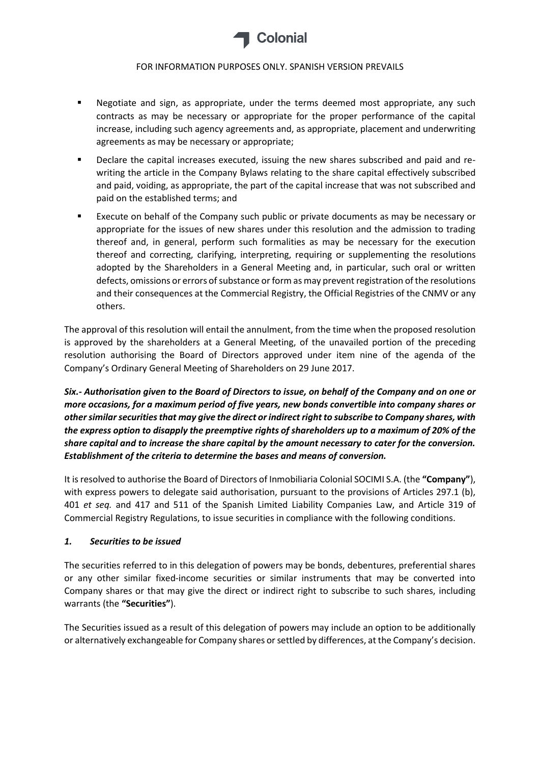

- Negotiate and sign, as appropriate, under the terms deemed most appropriate, any such contracts as may be necessary or appropriate for the proper performance of the capital increase, including such agency agreements and, as appropriate, placement and underwriting agreements as may be necessary or appropriate;
- Declare the capital increases executed, issuing the new shares subscribed and paid and rewriting the article in the Company Bylaws relating to the share capital effectively subscribed and paid, voiding, as appropriate, the part of the capital increase that was not subscribed and paid on the established terms; and
- Execute on behalf of the Company such public or private documents as may be necessary or appropriate for the issues of new shares under this resolution and the admission to trading thereof and, in general, perform such formalities as may be necessary for the execution thereof and correcting, clarifying, interpreting, requiring or supplementing the resolutions adopted by the Shareholders in a General Meeting and, in particular, such oral or written defects, omissions or errors of substance or form as may prevent registration of the resolutions and their consequences at the Commercial Registry, the Official Registries of the CNMV or any others.

The approval of this resolution will entail the annulment, from the time when the proposed resolution is approved by the shareholders at a General Meeting, of the unavailed portion of the preceding resolution authorising the Board of Directors approved under item nine of the agenda of the Company's Ordinary General Meeting of Shareholders on 29 June 2017.

*Six.- Authorisation given to the Board of Directors to issue, on behalf of the Company and on one or more occasions, for a maximum period of five years, new bonds convertible into company shares or other similar securities that may give the direct or indirect right to subscribe to Company shares, with the express option to disapply the preemptive rights of shareholders up to a maximum of 20% of the share capital and to increase the share capital by the amount necessary to cater for the conversion. Establishment of the criteria to determine the bases and means of conversion.* 

It is resolved to authorise the Board of Directors of Inmobiliaria Colonial SOCIMI S.A. (the **"Company"**), with express powers to delegate said authorisation, pursuant to the provisions of Articles 297.1 (b), 401 *et seq.* and 417 and 511 of the Spanish Limited Liability Companies Law, and Article 319 of Commercial Registry Regulations, to issue securities in compliance with the following conditions.

### *1. Securities to be issued*

The securities referred to in this delegation of powers may be bonds, debentures, preferential shares or any other similar fixed-income securities or similar instruments that may be converted into Company shares or that may give the direct or indirect right to subscribe to such shares, including warrants (the **"Securities"**).

The Securities issued as a result of this delegation of powers may include an option to be additionally or alternatively exchangeable for Company shares or settled by differences, at the Company's decision.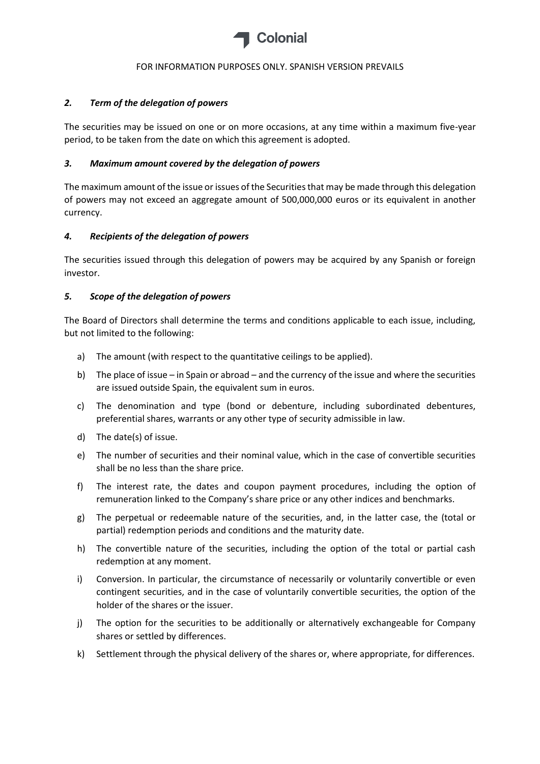

## *2. Term of the delegation of powers*

The securities may be issued on one or on more occasions, at any time within a maximum five-year period, to be taken from the date on which this agreement is adopted.

### *3. Maximum amount covered by the delegation of powers*

The maximum amount of the issue or issues of the Securities that may be made through this delegation of powers may not exceed an aggregate amount of 500,000,000 euros or its equivalent in another currency.

## *4. Recipients of the delegation of powers*

The securities issued through this delegation of powers may be acquired by any Spanish or foreign investor.

## *5. Scope of the delegation of powers*

The Board of Directors shall determine the terms and conditions applicable to each issue, including, but not limited to the following:

- a) The amount (with respect to the quantitative ceilings to be applied).
- b) The place of issue in Spain or abroad and the currency of the issue and where the securities are issued outside Spain, the equivalent sum in euros.
- c) The denomination and type (bond or debenture, including subordinated debentures, preferential shares, warrants or any other type of security admissible in law.
- d) The date(s) of issue.
- e) The number of securities and their nominal value, which in the case of convertible securities shall be no less than the share price.
- f) The interest rate, the dates and coupon payment procedures, including the option of remuneration linked to the Company's share price or any other indices and benchmarks.
- g) The perpetual or redeemable nature of the securities, and, in the latter case, the (total or partial) redemption periods and conditions and the maturity date.
- h) The convertible nature of the securities, including the option of the total or partial cash redemption at any moment.
- i) Conversion. In particular, the circumstance of necessarily or voluntarily convertible or even contingent securities, and in the case of voluntarily convertible securities, the option of the holder of the shares or the issuer.
- j) The option for the securities to be additionally or alternatively exchangeable for Company shares or settled by differences.
- k) Settlement through the physical delivery of the shares or, where appropriate, for differences.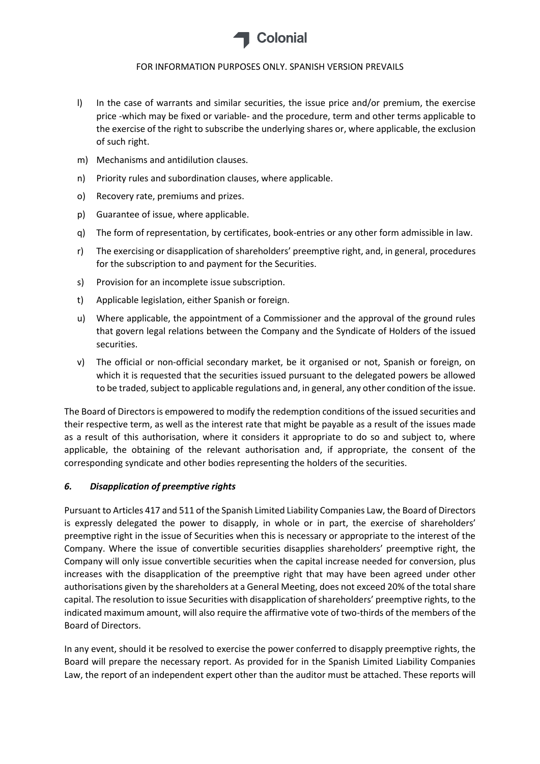

- l) In the case of warrants and similar securities, the issue price and/or premium, the exercise price -which may be fixed or variable- and the procedure, term and other terms applicable to the exercise of the right to subscribe the underlying shares or, where applicable, the exclusion of such right.
- m) Mechanisms and antidilution clauses.
- n) Priority rules and subordination clauses, where applicable.
- o) Recovery rate, premiums and prizes.
- p) Guarantee of issue, where applicable.
- q) The form of representation, by certificates, book-entries or any other form admissible in law.
- r) The exercising or disapplication of shareholders' preemptive right, and, in general, procedures for the subscription to and payment for the Securities.
- s) Provision for an incomplete issue subscription.
- t) Applicable legislation, either Spanish or foreign.
- u) Where applicable, the appointment of a Commissioner and the approval of the ground rules that govern legal relations between the Company and the Syndicate of Holders of the issued securities.
- v) The official or non-official secondary market, be it organised or not, Spanish or foreign, on which it is requested that the securities issued pursuant to the delegated powers be allowed to be traded, subject to applicable regulations and, in general, any other condition of the issue.

The Board of Directors is empowered to modify the redemption conditions of the issued securities and their respective term, as well as the interest rate that might be payable as a result of the issues made as a result of this authorisation, where it considers it appropriate to do so and subject to, where applicable, the obtaining of the relevant authorisation and, if appropriate, the consent of the corresponding syndicate and other bodies representing the holders of the securities.

### *6. Disapplication of preemptive rights*

Pursuant to Articles 417 and 511 of the Spanish Limited Liability Companies Law, the Board of Directors is expressly delegated the power to disapply, in whole or in part, the exercise of shareholders' preemptive right in the issue of Securities when this is necessary or appropriate to the interest of the Company. Where the issue of convertible securities disapplies shareholders' preemptive right, the Company will only issue convertible securities when the capital increase needed for conversion, plus increases with the disapplication of the preemptive right that may have been agreed under other authorisations given by the shareholders at a General Meeting, does not exceed 20% of the total share capital. The resolution to issue Securities with disapplication of shareholders' preemptive rights, to the indicated maximum amount, will also require the affirmative vote of two-thirds of the members of the Board of Directors.

In any event, should it be resolved to exercise the power conferred to disapply preemptive rights, the Board will prepare the necessary report. As provided for in the Spanish Limited Liability Companies Law, the report of an independent expert other than the auditor must be attached. These reports will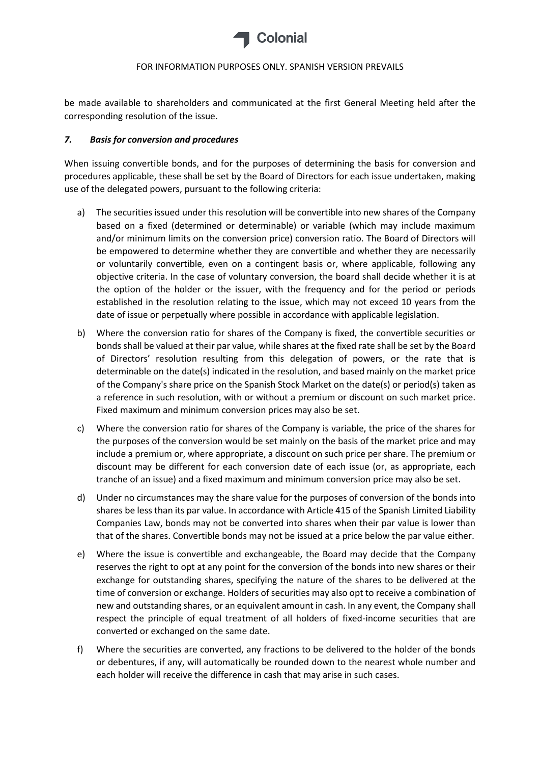

be made available to shareholders and communicated at the first General Meeting held after the corresponding resolution of the issue.

### *7. Basis for conversion and procedures*

When issuing convertible bonds, and for the purposes of determining the basis for conversion and procedures applicable, these shall be set by the Board of Directors for each issue undertaken, making use of the delegated powers, pursuant to the following criteria:

- a) The securities issued under this resolution will be convertible into new shares of the Company based on a fixed (determined or determinable) or variable (which may include maximum and/or minimum limits on the conversion price) conversion ratio. The Board of Directors will be empowered to determine whether they are convertible and whether they are necessarily or voluntarily convertible, even on a contingent basis or, where applicable, following any objective criteria. In the case of voluntary conversion, the board shall decide whether it is at the option of the holder or the issuer, with the frequency and for the period or periods established in the resolution relating to the issue, which may not exceed 10 years from the date of issue or perpetually where possible in accordance with applicable legislation.
- b) Where the conversion ratio for shares of the Company is fixed, the convertible securities or bonds shall be valued at their par value, while shares at the fixed rate shall be set by the Board of Directors' resolution resulting from this delegation of powers, or the rate that is determinable on the date(s) indicated in the resolution, and based mainly on the market price of the Company's share price on the Spanish Stock Market on the date(s) or period(s) taken as a reference in such resolution, with or without a premium or discount on such market price. Fixed maximum and minimum conversion prices may also be set.
- c) Where the conversion ratio for shares of the Company is variable, the price of the shares for the purposes of the conversion would be set mainly on the basis of the market price and may include a premium or, where appropriate, a discount on such price per share. The premium or discount may be different for each conversion date of each issue (or, as appropriate, each tranche of an issue) and a fixed maximum and minimum conversion price may also be set.
- d) Under no circumstances may the share value for the purposes of conversion of the bonds into shares be less than its par value. In accordance with Article 415 of the Spanish Limited Liability Companies Law, bonds may not be converted into shares when their par value is lower than that of the shares. Convertible bonds may not be issued at a price below the par value either.
- e) Where the issue is convertible and exchangeable, the Board may decide that the Company reserves the right to opt at any point for the conversion of the bonds into new shares or their exchange for outstanding shares, specifying the nature of the shares to be delivered at the time of conversion or exchange. Holders of securities may also opt to receive a combination of new and outstanding shares, or an equivalent amount in cash. In any event, the Company shall respect the principle of equal treatment of all holders of fixed-income securities that are converted or exchanged on the same date.
- f) Where the securities are converted, any fractions to be delivered to the holder of the bonds or debentures, if any, will automatically be rounded down to the nearest whole number and each holder will receive the difference in cash that may arise in such cases.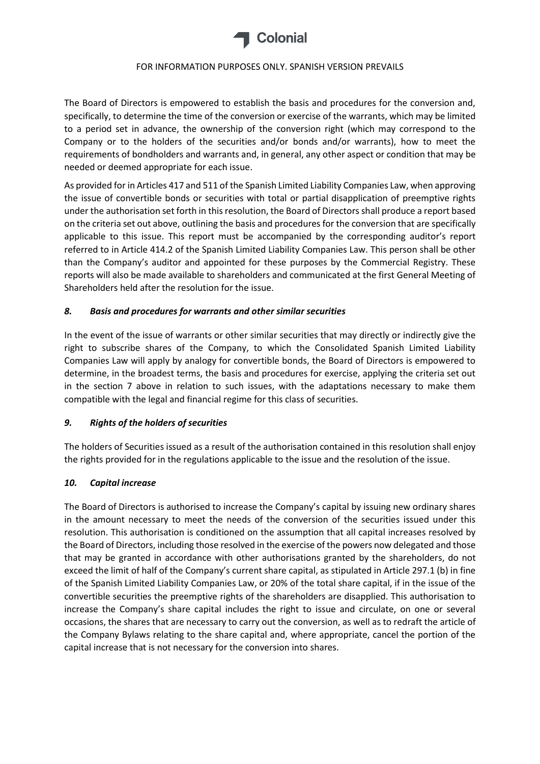

The Board of Directors is empowered to establish the basis and procedures for the conversion and, specifically, to determine the time of the conversion or exercise of the warrants, which may be limited to a period set in advance, the ownership of the conversion right (which may correspond to the Company or to the holders of the securities and/or bonds and/or warrants), how to meet the requirements of bondholders and warrants and, in general, any other aspect or condition that may be needed or deemed appropriate for each issue.

As provided for in Articles 417 and 511 of the Spanish Limited Liability Companies Law, when approving the issue of convertible bonds or securities with total or partial disapplication of preemptive rights under the authorisation set forth in this resolution, the Board of Directors shall produce a report based on the criteria set out above, outlining the basis and procedures for the conversion that are specifically applicable to this issue. This report must be accompanied by the corresponding auditor's report referred to in Article 414.2 of the Spanish Limited Liability Companies Law. This person shall be other than the Company's auditor and appointed for these purposes by the Commercial Registry. These reports will also be made available to shareholders and communicated at the first General Meeting of Shareholders held after the resolution for the issue.

# *8. Basis and procedures for warrants and other similar securities*

In the event of the issue of warrants or other similar securities that may directly or indirectly give the right to subscribe shares of the Company, to which the Consolidated Spanish Limited Liability Companies Law will apply by analogy for convertible bonds, the Board of Directors is empowered to determine, in the broadest terms, the basis and procedures for exercise, applying the criteria set out in the section 7 above in relation to such issues, with the adaptations necessary to make them compatible with the legal and financial regime for this class of securities.

### *9. Rights of the holders of securities*

The holders of Securities issued as a result of the authorisation contained in this resolution shall enjoy the rights provided for in the regulations applicable to the issue and the resolution of the issue.

### *10. Capital increase*

The Board of Directors is authorised to increase the Company's capital by issuing new ordinary shares in the amount necessary to meet the needs of the conversion of the securities issued under this resolution. This authorisation is conditioned on the assumption that all capital increases resolved by the Board of Directors, including those resolved in the exercise of the powers now delegated and those that may be granted in accordance with other authorisations granted by the shareholders, do not exceed the limit of half of the Company's current share capital, as stipulated in Article 297.1 (b) in fine of the Spanish Limited Liability Companies Law, or 20% of the total share capital, if in the issue of the convertible securities the preemptive rights of the shareholders are disapplied. This authorisation to increase the Company's share capital includes the right to issue and circulate, on one or several occasions, the shares that are necessary to carry out the conversion, as well as to redraft the article of the Company Bylaws relating to the share capital and, where appropriate, cancel the portion of the capital increase that is not necessary for the conversion into shares.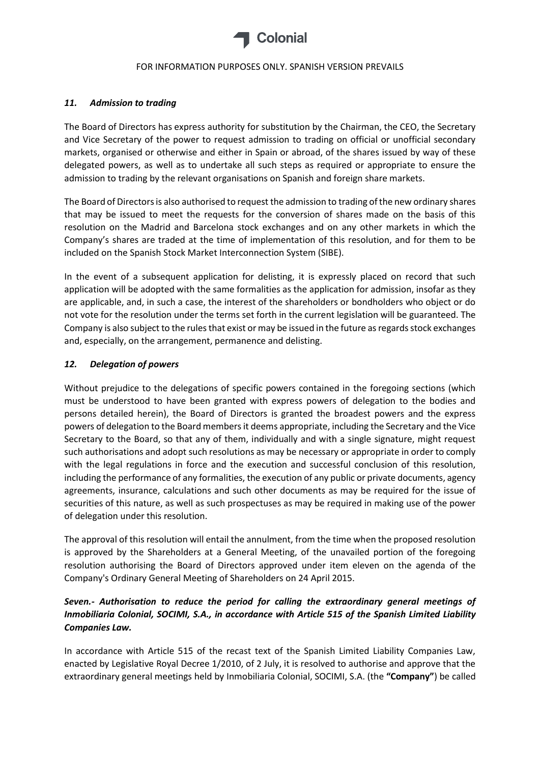

### *11. Admission to trading*

The Board of Directors has express authority for substitution by the Chairman, the CEO, the Secretary and Vice Secretary of the power to request admission to trading on official or unofficial secondary markets, organised or otherwise and either in Spain or abroad, of the shares issued by way of these delegated powers, as well as to undertake all such steps as required or appropriate to ensure the admission to trading by the relevant organisations on Spanish and foreign share markets.

The Board of Directors is also authorised to request the admission to trading of the new ordinary shares that may be issued to meet the requests for the conversion of shares made on the basis of this resolution on the Madrid and Barcelona stock exchanges and on any other markets in which the Company's shares are traded at the time of implementation of this resolution, and for them to be included on the Spanish Stock Market Interconnection System (SIBE).

In the event of a subsequent application for delisting, it is expressly placed on record that such application will be adopted with the same formalities as the application for admission, insofar as they are applicable, and, in such a case, the interest of the shareholders or bondholders who object or do not vote for the resolution under the terms set forth in the current legislation will be guaranteed. The Company is also subject to the rules that exist or may be issued in the future as regards stock exchanges and, especially, on the arrangement, permanence and delisting.

## *12. Delegation of powers*

Without prejudice to the delegations of specific powers contained in the foregoing sections (which must be understood to have been granted with express powers of delegation to the bodies and persons detailed herein), the Board of Directors is granted the broadest powers and the express powers of delegation to the Board members it deems appropriate, including the Secretary and the Vice Secretary to the Board, so that any of them, individually and with a single signature, might request such authorisations and adopt such resolutions as may be necessary or appropriate in order to comply with the legal regulations in force and the execution and successful conclusion of this resolution, including the performance of any formalities, the execution of any public or private documents, agency agreements, insurance, calculations and such other documents as may be required for the issue of securities of this nature, as well as such prospectuses as may be required in making use of the power of delegation under this resolution.

The approval of this resolution will entail the annulment, from the time when the proposed resolution is approved by the Shareholders at a General Meeting, of the unavailed portion of the foregoing resolution authorising the Board of Directors approved under item eleven on the agenda of the Company's Ordinary General Meeting of Shareholders on 24 April 2015.

# *Seven.- Authorisation to reduce the period for calling the extraordinary general meetings of Inmobiliaria Colonial, SOCIMI, S.A., in accordance with Article 515 of the Spanish Limited Liability Companies Law.*

In accordance with Article 515 of the recast text of the Spanish Limited Liability Companies Law, enacted by Legislative Royal Decree 1/2010, of 2 July, it is resolved to authorise and approve that the extraordinary general meetings held by Inmobiliaria Colonial, SOCIMI, S.A. (the **"Company"**) be called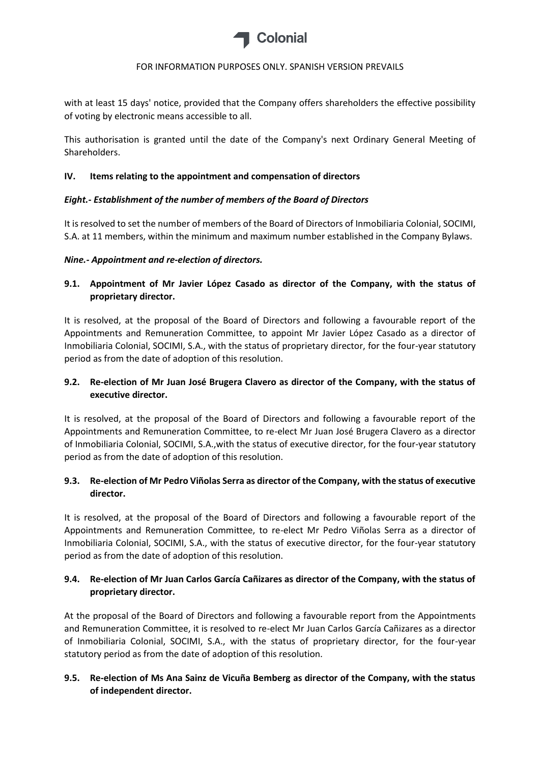

with at least 15 days' notice, provided that the Company offers shareholders the effective possibility of voting by electronic means accessible to all.

This authorisation is granted until the date of the Company's next Ordinary General Meeting of Shareholders.

## **IV. Items relating to the appointment and compensation of directors**

## *Eight.- Establishment of the number of members of the Board of Directors*

It is resolved to set the number of members of the Board of Directors of Inmobiliaria Colonial, SOCIMI, S.A. at 11 members, within the minimum and maximum number established in the Company Bylaws.

## *Nine.- Appointment and re-election of directors.*

**9.1. Appointment of Mr Javier López Casado as director of the Company, with the status of proprietary director.**

It is resolved, at the proposal of the Board of Directors and following a favourable report of the Appointments and Remuneration Committee, to appoint Mr Javier López Casado as a director of Inmobiliaria Colonial, SOCIMI, S.A., with the status of proprietary director, for the four-year statutory period as from the date of adoption of this resolution.

# **9.2. Re-election of Mr Juan José Brugera Clavero as director of the Company, with the status of executive director.**

It is resolved, at the proposal of the Board of Directors and following a favourable report of the Appointments and Remuneration Committee, to re-elect Mr Juan José Brugera Clavero as a director of Inmobiliaria Colonial, SOCIMI, S.A.,with the status of executive director, for the four-year statutory period as from the date of adoption of this resolution.

# **9.3. Re-election of Mr Pedro Viñolas Serra as director of the Company, with the status of executive director.**

It is resolved, at the proposal of the Board of Directors and following a favourable report of the Appointments and Remuneration Committee, to re-elect Mr Pedro Viñolas Serra as a director of Inmobiliaria Colonial, SOCIMI, S.A., with the status of executive director, for the four-year statutory period as from the date of adoption of this resolution.

# **9.4. Re-election of Mr Juan Carlos García Cañizares as director of the Company, with the status of proprietary director.**

At the proposal of the Board of Directors and following a favourable report from the Appointments and Remuneration Committee, it is resolved to re-elect Mr Juan Carlos García Cañizares as a director of Inmobiliaria Colonial, SOCIMI, S.A., with the status of proprietary director, for the four-year statutory period as from the date of adoption of this resolution.

# **9.5. Re-election of Ms Ana Sainz de Vicuña Bemberg as director of the Company, with the status of independent director.**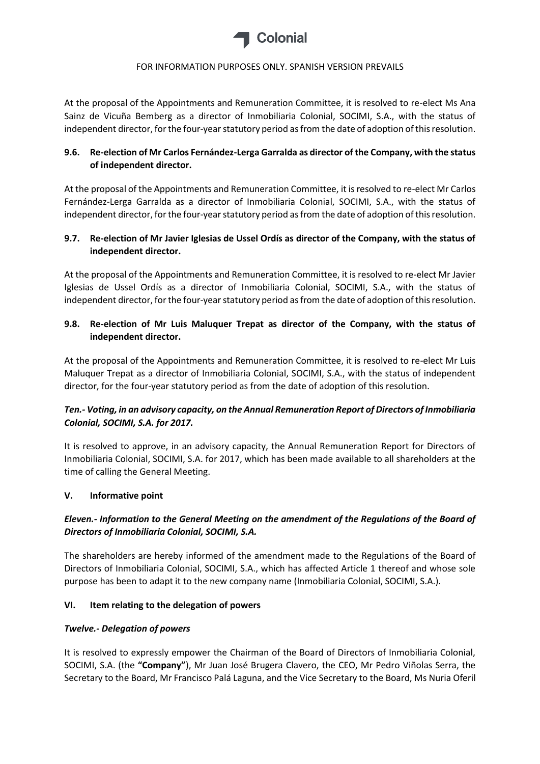

At the proposal of the Appointments and Remuneration Committee, it is resolved to re-elect Ms Ana Sainz de Vicuña Bemberg as a director of Inmobiliaria Colonial, SOCIMI, S.A., with the status of independent director, for the four-year statutory period as from the date of adoption of this resolution.

# **9.6. Re-election of Mr Carlos Fernández-Lerga Garralda as director of the Company, with the status of independent director.**

At the proposal of the Appointments and Remuneration Committee, it is resolved to re-elect Mr Carlos Fernández-Lerga Garralda as a director of Inmobiliaria Colonial, SOCIMI, S.A., with the status of independent director, for the four-year statutory period as from the date of adoption of this resolution.

## **9.7. Re-election of Mr Javier Iglesias de Ussel Ordís as director of the Company, with the status of independent director.**

At the proposal of the Appointments and Remuneration Committee, it is resolved to re-elect Mr Javier Iglesias de Ussel Ordís as a director of Inmobiliaria Colonial, SOCIMI, S.A., with the status of independent director, for the four-year statutory period as from the date of adoption of this resolution.

# **9.8. Re-election of Mr Luis Maluquer Trepat as director of the Company, with the status of independent director.**

At the proposal of the Appointments and Remuneration Committee, it is resolved to re-elect Mr Luis Maluquer Trepat as a director of Inmobiliaria Colonial, SOCIMI, S.A., with the status of independent director, for the four-year statutory period as from the date of adoption of this resolution.

# *Ten.- Voting, in an advisory capacity, on the Annual Remuneration Report of Directors of Inmobiliaria Colonial, SOCIMI, S.A. for 2017.*

It is resolved to approve, in an advisory capacity, the Annual Remuneration Report for Directors of Inmobiliaria Colonial, SOCIMI, S.A. for 2017, which has been made available to all shareholders at the time of calling the General Meeting.

### **V. Informative point**

# *Eleven.- Information to the General Meeting on the amendment of the Regulations of the Board of Directors of Inmobiliaria Colonial, SOCIMI, S.A.*

The shareholders are hereby informed of the amendment made to the Regulations of the Board of Directors of Inmobiliaria Colonial, SOCIMI, S.A., which has affected Article 1 thereof and whose sole purpose has been to adapt it to the new company name (Inmobiliaria Colonial, SOCIMI, S.A.).

### **VI. Item relating to the delegation of powers**

### *Twelve.- Delegation of powers*

It is resolved to expressly empower the Chairman of the Board of Directors of Inmobiliaria Colonial, SOCIMI, S.A. (the **"Company"**), Mr Juan José Brugera Clavero, the CEO, Mr Pedro Viñolas Serra, the Secretary to the Board, Mr Francisco Palá Laguna, and the Vice Secretary to the Board, Ms Nuria Oferil